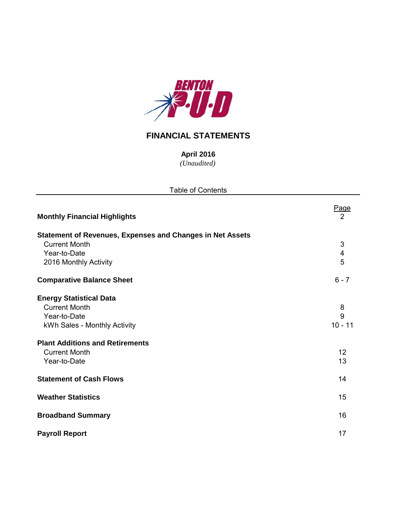

# **FINANCIAL STATEMENTS**

*(Unaudited)* **April 2016**

| <b>Table of Contents</b>                                                                                                                                                                 |                                   |
|------------------------------------------------------------------------------------------------------------------------------------------------------------------------------------------|-----------------------------------|
| <b>Monthly Financial Highlights</b>                                                                                                                                                      | <b>Page</b><br>$\overline{2}$     |
| Statement of Revenues, Expenses and Changes in Net Assets<br><b>Current Month</b><br>Year-to-Date<br>2016 Monthly Activity                                                               | 3<br>$\overline{\mathbf{4}}$<br>5 |
| <b>Comparative Balance Sheet</b>                                                                                                                                                         | $6 - 7$                           |
| <b>Energy Statistical Data</b><br><b>Current Month</b><br>Year-to-Date<br>kWh Sales - Monthly Activity<br><b>Plant Additions and Retirements</b><br><b>Current Month</b><br>Year-to-Date | 8<br>9<br>$10 - 11$<br>12<br>13   |
| <b>Statement of Cash Flows</b>                                                                                                                                                           | 14                                |
| <b>Weather Statistics</b>                                                                                                                                                                | 15                                |
| <b>Broadband Summary</b>                                                                                                                                                                 | 16                                |
| <b>Payroll Report</b>                                                                                                                                                                    | 17                                |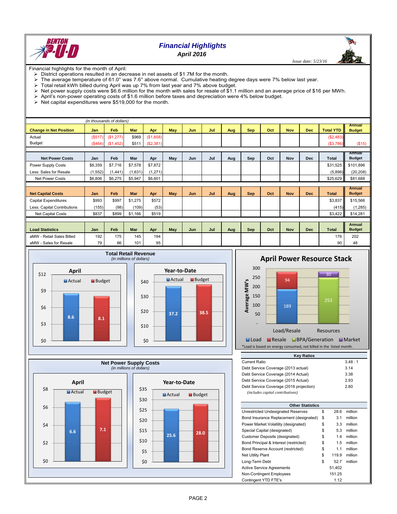

# *Financial Highlights*

*April 2016*

 *Issue date: 5/23/16*

Financial highlights for the month of April:

- > District operations resulted in an decrease in net assets of \$1.7M for the month.
- The average temperature of 61.0° was 7.6° above normal. Cumulative heating degree days were 7% below last year.<br>> Total retail kWh billed during April was up 7% from last year and 7% above budget
- Total retail kWh billed during April was up 7% from last year and 7% above budget.
- Net power supply costs were \$6.6 million for the month vith sales for resale of \$1.1 million and an average price of \$16 per MWh.<br>> April's non-power operating costs of \$1.6 million before taxes and depreciation were 4% be
- April's non-power operating costs of \$1.6 million before taxes and depreciation were 4% below budget.
- $\triangleright$  Net capital expenditures were \$519,000 for the month.

|                               |          | (in thousands of dollars) |            |           |            |            |     |     |            |     |            |            |                  |                         |
|-------------------------------|----------|---------------------------|------------|-----------|------------|------------|-----|-----|------------|-----|------------|------------|------------------|-------------------------|
|                               |          |                           |            |           |            |            |     |     |            |     |            |            |                  | <b>Annual</b>           |
| <b>Change in Net Position</b> | Jan      | Feb                       | <b>Mar</b> | Apr       | <b>May</b> | <b>Jun</b> | Jul | Aug | <b>Sep</b> | Oct | <b>Nov</b> | <b>Dec</b> | <b>Total YTD</b> | <b>Budget</b>           |
| Actual                        | (S517)   | (\$1,277)                 | \$969      | (\$1,658) |            |            |     |     |            |     |            |            | (\$2,483)        |                         |
| <b>Budget</b>                 | (S464)   | (\$1,452)                 | \$511      | (S2, 381) |            |            |     |     |            |     |            |            | ( \$3,786)       | (\$15)                  |
|                               |          |                           |            |           |            |            |     |     |            |     |            |            |                  |                         |
| <b>Net Power Costs</b>        | Jan      | Feb                       | Mar        | Apr       | May        | Jun        | Jul | Aug | Sep        | Oct | Nov        | <b>Dec</b> | <b>Total</b>     | Annual<br><b>Budget</b> |
| Power Supply Costs            | \$8,359  | \$7.716                   | \$7.578    | \$7,872   |            |            |     |     |            |     |            |            | \$31.525         | \$101,896               |
| Less: Sales for Resale        | (1, 552) | (1, 441)                  | (1,631)    | (1,271)   |            |            |     |     |            |     |            |            | (5,896)          | (20, 208)               |
| <b>Net Power Costs</b>        | \$6,806  | \$6,275                   | \$5,947    | \$6,601   |            |            |     |     |            |     |            |            | \$25,629         | \$81,688                |
|                               |          |                           |            |           |            |            |     |     |            |     |            |            |                  |                         |
|                               |          |                           |            |           |            |            |     |     |            |     |            |            |                  | <b>Annual</b>           |
| <b>Net Capital Costs</b>      | Jan      | Feb                       | <b>Mar</b> | Apr       | May        | Jun        | Jul | Aug | <b>Sep</b> | Oct | <b>Nov</b> | <b>Dec</b> | <b>Total</b>     | <b>Budget</b>           |
| Capital Expenditures          | \$993    | \$997                     | \$1,275    | \$572     |            |            |     |     |            |     |            |            | \$3,837          | \$15,566                |
| Less: Capital Contributions   | (155)    | (98)                      | (109)      | (53)      |            |            |     |     |            |     |            |            | (415)            | (1, 285)                |
| Net Capital Costs             | \$837    | \$899                     | \$1,166    | \$519     |            |            |     |     |            |     |            |            | \$3,422          | \$14,281                |
|                               |          |                           |            |           |            |            |     |     |            |     |            |            |                  |                         |
|                               |          |                           |            |           |            |            |     |     |            |     |            |            |                  | <b>Annual</b>           |
| <b>Load Statistics</b>        | Jan      | Feb                       | Mar        | Apr       | May        | Jun        | Jul | Aug | Sep        | Oct | <b>Nov</b> | <b>Dec</b> | <b>Total</b>     | <b>Budget</b>           |
| aMW - Retail Sales Billed     | 192      | 175                       | 145        | 194       |            |            |     |     |            |     |            |            | 176              | 202                     |
| aMW - Sales for Resale        | 79       | 86                        | 101        | 95        |            |            |     |     |            |     |            |            | 90               | 48                      |













\*Load is based on energy consumed, not billed in the listed month.

| Current Ratio                           |             | 3.48:1  |
|-----------------------------------------|-------------|---------|
| Debt Service Coverage (2013 actual)     |             | 3.14    |
| Debt Service Coverage (2014 Actual)     |             | 3.38    |
| Debt Service Coverage (2015 Actual)     |             | 2.93    |
| Debt Service Coverage (2016 projection) |             | 2.80    |
| (includes capital contributions)        |             |         |
|                                         |             |         |
| <b>Other Statistics</b>                 |             |         |
| Unrestricted Undesignated Reserves      | \$<br>28.6  | million |
| Bond Insurance Replacement (designated) | \$<br>3.1   | million |
| Power Market Volatility (designated)    | \$<br>3.3   | million |
| Special Capital (designated)            | \$<br>5.3   | million |
| Customer Deposits (designated)          | \$<br>1.4   | million |
| Bond Principal & Interest (restricted)  | \$<br>1.5   | million |
| Bond Reserve Account (restricted)       | \$<br>1.1   | million |
| <b>Net Utility Plant</b>                | \$<br>119.9 | million |
| Long-Term Debt                          | \$<br>52.7  | million |
| <b>Active Service Agreements</b>        | 51,402      |         |
| <b>Non-Contingent Employees</b>         | 151.25      |         |
| Contingent YTD FTE's                    | 112         |         |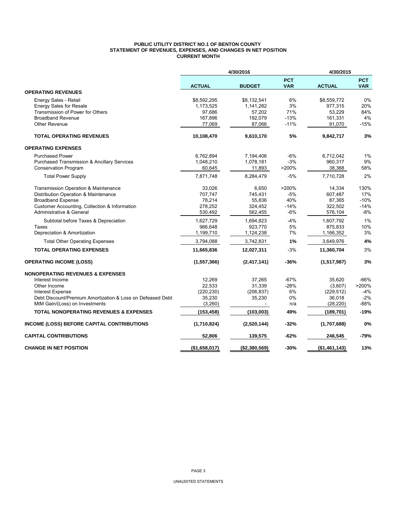## **PUBLIC UTILITY DISTRICT NO.1 OF BENTON COUNTY STATEMENT OF REVENUES, EXPENSES, AND CHANGES IN NET POSITION CURRENT MONTH**

|                                                            |               | 4/30/2016     |                          | 4/30/2015     |                          |
|------------------------------------------------------------|---------------|---------------|--------------------------|---------------|--------------------------|
|                                                            | <b>ACTUAL</b> | <b>BUDGET</b> | <b>PCT</b><br><b>VAR</b> | <b>ACTUAL</b> | <b>PCT</b><br><b>VAR</b> |
| <b>OPERATING REVENUES</b>                                  |               |               |                          |               |                          |
| Energy Sales - Retail                                      | \$8,592,295   | \$8,132,541   | 6%                       | \$8,559,772   | 0%                       |
| <b>Energy Sales for Resale</b>                             | 1,173,525     | 1,141,282     | 3%                       | 977,315       | 20%                      |
| Transmission of Power for Others                           | 97,686        | 57,202        | 71%                      | 53,229        | 84%                      |
| <b>Broadband Revenue</b>                                   | 167,896       | 192,079       | $-13%$                   | 161,331       | 4%                       |
| <b>Other Revenue</b>                                       | 77,069        | 87,066        | $-11%$                   | 91,070        | $-15%$                   |
| <b>TOTAL OPERATING REVENUES</b>                            | 10,108,470    | 9,610,170     | 5%                       | 9,842,717     | 3%                       |
| <b>OPERATING EXPENSES</b>                                  |               |               |                          |               |                          |
| <b>Purchased Power</b>                                     | 6,762,894     | 7,194,406     | $-6%$                    | 6,712,042     | 1%                       |
| <b>Purchased Transmission &amp; Ancillary Services</b>     | 1,048,210     | 1,078,181     | $-3%$                    | 960,317       | 9%                       |
| <b>Conservation Program</b>                                | 60,645        | 11,893        | >200%                    | 38,368        | 58%                      |
| <b>Total Power Supply</b>                                  | 7,871,748     | 8,284,479     | $-5%$                    | 7,710,728     | 2%                       |
| Transmission Operation & Maintenance                       | 33,026        | 6,650         | >200%                    | 14,334        | 130%                     |
| Distribution Operation & Maintenance                       | 707,747       | 745,431       | $-5%$                    | 607,487       | 17%                      |
| <b>Broadband Expense</b>                                   | 78,214        | 55,836        | 40%                      | 87,365        | $-10%$                   |
| Customer Accounting, Collection & Information              | 278,252       | 324,452       | $-14%$                   | 322,502       | $-14%$                   |
| Administrative & General                                   | 530,492       | 562,455       | $-6%$                    | 576,104       | $-8%$                    |
| Subtotal before Taxes & Depreciation                       | 1,627,729     | 1,694,823     | $-4%$                    | 1,607,792     | 1%                       |
| Taxes                                                      | 966,648       | 923,770       | 5%                       | 875,833       | 10%                      |
| Depreciation & Amortization                                | 1,199,710     | 1,124,238     | 7%                       | 1,166,352     | 3%                       |
| <b>Total Other Operating Expenses</b>                      | 3,794,088     | 3,742,831     | 1%                       | 3,649,976     | 4%                       |
| <b>TOTAL OPERATING EXPENSES</b>                            | 11,665,836    | 12,027,311    | $-3%$                    | 11,360,704    | 3%                       |
| <b>OPERATING INCOME (LOSS)</b>                             | (1, 557, 366) | (2, 417, 141) | $-36%$                   | (1,517,987)   | 3%                       |
| <b>NONOPERATING REVENUES &amp; EXPENSES</b>                |               |               |                          |               |                          |
| Interest Income                                            | 12,269        | 37,265        | $-67%$                   | 35,620        | $-66%$                   |
| Other Income                                               | 22,533        | 31,339        | $-28%$                   | (3,607)       | >200%                    |
| Interest Expense                                           | (220, 230)    | (206, 837)    | 6%                       | (229, 512)    | -4%                      |
| Debt Discount/Premium Amortization & Loss on Defeased Debt | 35,230        | 35,230        | 0%                       | 36,018        | $-2%$                    |
| MtM Gain/(Loss) on Investments                             | (3,260)       |               | n/a                      | (28, 220)     | $-88%$                   |
| <b>TOTAL NONOPERATING REVENUES &amp; EXPENSES</b>          | (153, 458)    | (103,003)     | 49%                      | (189, 701)    | $-19%$                   |
| <b>INCOME (LOSS) BEFORE CAPITAL CONTRIBUTIONS</b>          | (1,710,824)   | (2,520,144)   | $-32%$                   | (1,707,688)   | 0%                       |
| <b>CAPITAL CONTRIBUTIONS</b>                               | 52,806        | 139,575       | $-62%$                   | 246,545       | -79%                     |
| <b>CHANGE IN NET POSITION</b>                              | (\$1,658,017) | (\$2,380,569) | $-30%$                   | (\$1,461,143) | 13%                      |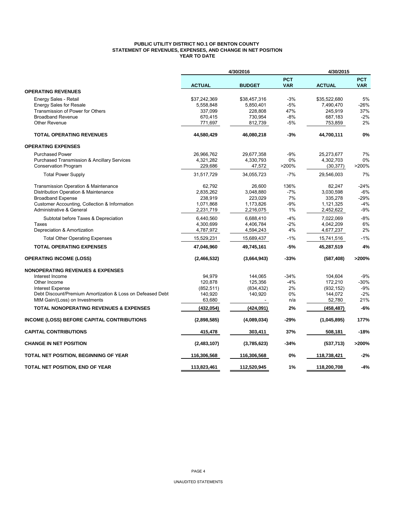## **PUBLIC UTILITY DISTRICT NO.1 OF BENTON COUNTY STATEMENT OF REVENUES, EXPENSES, AND CHANGE IN NET POSITION YEAR TO DATE**

|                                                            |               | 4/30/2016     |                          | 4/30/2015     |                          |
|------------------------------------------------------------|---------------|---------------|--------------------------|---------------|--------------------------|
|                                                            | <b>ACTUAL</b> | <b>BUDGET</b> | <b>PCT</b><br><b>VAR</b> | <b>ACTUAL</b> | <b>PCT</b><br><b>VAR</b> |
| <b>OPERATING REVENUES</b>                                  |               |               |                          |               |                          |
| Energy Sales - Retail                                      | \$37.242.369  | \$38.457.316  | $-3%$                    | \$35,522,680  | 5%                       |
| <b>Energy Sales for Resale</b>                             | 5,558,848     | 5,850,401     | $-5%$                    | 7,490,470     | $-26%$                   |
| Transmission of Power for Others                           | 337,099       | 228,808       | 47%                      | 245,919       | 37%                      |
| <b>Broadband Revenue</b>                                   | 670,415       | 730,954       | $-8%$                    | 687,183       | $-2%$                    |
| <b>Other Revenue</b>                                       | 771,697       | 812,739       | -5%                      | 753,859       | 2%                       |
| <b>TOTAL OPERATING REVENUES</b>                            | 44,580,429    | 46,080,218    | -3%                      | 44,700,111    | 0%                       |
| <b>OPERATING EXPENSES</b>                                  |               |               |                          |               |                          |
| <b>Purchased Power</b>                                     | 26,966,762    | 29,677,358    | $-9%$                    | 25,273,677    | 7%                       |
| Purchased Transmission & Ancillary Services                | 4,321,282     | 4,330,793     | 0%                       | 4,302,703     | 0%                       |
| <b>Conservation Program</b>                                | 229,686       | 47,572        | >200%                    | (30, 377)     | >200%                    |
| <b>Total Power Supply</b>                                  | 31,517,729    | 34,055,723    | $-7%$                    | 29,546,003    | 7%                       |
| Transmission Operation & Maintenance                       | 62,792        | 26,600        | 136%                     | 82,247        | $-24%$                   |
| Distribution Operation & Maintenance                       | 2,835,262     | 3,048,880     | $-7%$                    | 3,030,598     | $-6%$                    |
| <b>Broadband Expense</b>                                   | 238,919       | 223,029       | 7%                       | 335,278       | -29%                     |
| Customer Accounting, Collection & Information              | 1,071,868     | 1,173,826     | $-9%$                    | 1,121,325     | $-4%$                    |
| <b>Administrative &amp; General</b>                        | 2,231,719     | 2,216,075     | 1%                       | 2,452,622     | $-9%$                    |
| Subtotal before Taxes & Depreciation                       | 6,440,560     | 6,688,410     | $-4%$                    | 7,022,069     | $-8%$                    |
| Taxes                                                      | 4,300,699     | 4,406,784     | $-2%$                    | 4,042,209     | 6%                       |
| Depreciation & Amortization                                | 4,787,972     | 4,594,243     | 4%                       | 4,677,237     | 2%                       |
| <b>Total Other Operating Expenses</b>                      | 15,529,231    | 15,689,437    | $-1%$                    | 15,741,516    | $-1%$                    |
| <b>TOTAL OPERATING EXPENSES</b>                            | 47,046,960    | 49,745,161    | -5%                      | 45,287,519    | 4%                       |
| <b>OPERATING INCOME (LOSS)</b>                             | (2,466,532)   | (3,664,943)   | $-33%$                   | (587, 408)    | >200%                    |
| <b>NONOPERATING REVENUES &amp; EXPENSES</b>                |               |               |                          |               |                          |
| Interest Income                                            | 94.979        | 144.065       | $-34%$                   | 104,604       | $-9%$                    |
| Other Income                                               | 120.878       | 125,356       | $-4%$                    | 172,210       | $-30%$                   |
| <b>Interest Expense</b>                                    | (852, 511)    | (834, 432)    | 2%                       | (932, 152)    | $-9%$                    |
| Debt Discount/Premium Amortization & Loss on Defeased Debt | 140,920       | 140,920       | 0%                       | 144,072       | $-2%$                    |
| MtM Gain/(Loss) on Investments                             | 63,680        |               | n/a                      | 52,780        | 21%                      |
| <b>TOTAL NONOPERATING REVENUES &amp; EXPENSES</b>          | (432, 054)    | (424, 091)    | 2%                       | (458,487)     | $-6%$                    |
| <b>INCOME (LOSS) BEFORE CAPITAL CONTRIBUTIONS</b>          | (2,898,585)   | (4,089,034)   | -29%                     | (1,045,895)   | 177%                     |
| <b>CAPITAL CONTRIBUTIONS</b>                               | 415,478       | 303,411       | 37%                      | 508,181       | -18%                     |
| <b>CHANGE IN NET POSITION</b>                              | (2,483,107)   | (3,785,623)   | $-34%$                   | (537, 713)    | >200%                    |
| TOTAL NET POSITION, BEGINNING OF YEAR                      | 116,306,568   | 116,306,568   | 0%                       | 118,738,421   | $-2%$                    |
| TOTAL NET POSITION, END OF YEAR                            | 113,823,461   | 112.520.945   | 1%                       | 118,200,708   | $-4%$                    |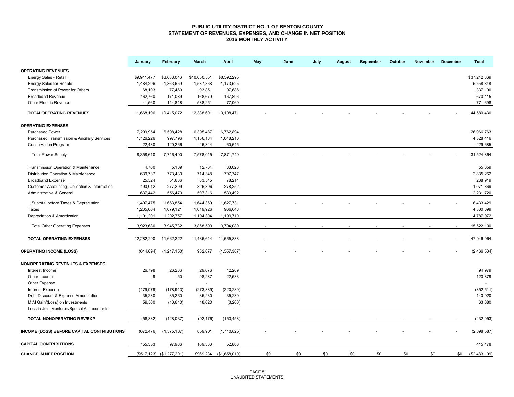## **PUBLIC UTILITY DISTRICT NO. 1 OF BENTON COUNTY STATEMENT OF REVENUES, EXPENSES, AND CHANGE IN NET POSITION 2016 MONTHLY ACTIVITY**

|                                                        | January        | February                       | March                    | <b>April</b>  | May | June | July | <b>August</b> | September | October | November | December | <b>Total</b>  |
|--------------------------------------------------------|----------------|--------------------------------|--------------------------|---------------|-----|------|------|---------------|-----------|---------|----------|----------|---------------|
| <b>OPERATING REVENUES</b>                              |                |                                |                          |               |     |      |      |               |           |         |          |          |               |
| Energy Sales - Retail                                  | \$9,911,477    | \$8,688,046                    | \$10,050,551             | \$8,592,295   |     |      |      |               |           |         |          |          | \$37,242,369  |
| <b>Energy Sales for Resale</b>                         | 1,484,296      | 1,363,659                      | 1,537,368                | 1,173,525     |     |      |      |               |           |         |          |          | 5,558,848     |
| Transmission of Power for Others                       | 68,103         | 77,460                         | 93,851                   | 97,686        |     |      |      |               |           |         |          |          | 337,100       |
| <b>Broadband Revenue</b>                               | 162,760        | 171,089                        | 168,670                  | 167,896       |     |      |      |               |           |         |          |          | 670,415       |
| <b>Other Electric Revenue</b>                          | 41,560         | 114,818                        | 538,251                  | 77,069        |     |      |      |               |           |         |          |          | 771,698       |
| <b>TOTALOPERATING REVENUES</b>                         | 11,668,196     | 10,415,072                     | 12,388,691               | 10,108,471    |     |      |      |               |           |         |          |          | 44,580,430    |
| <b>OPERATING EXPENSES</b>                              |                |                                |                          |               |     |      |      |               |           |         |          |          |               |
| <b>Purchased Power</b>                                 | 7,209,954      | 6,598,428                      | 6,395,487                | 6,762,894     |     |      |      |               |           |         |          |          | 26,966,763    |
| <b>Purchased Transmission &amp; Ancillary Services</b> | 1,126,226      | 997,796                        | 1,156,184                | 1,048,210     |     |      |      |               |           |         |          |          | 4,328,416     |
| <b>Conservation Program</b>                            | 22,430         | 120,266                        | 26,344                   | 60,645        |     |      |      |               |           |         |          |          | 229,685       |
| <b>Total Power Supply</b>                              | 8,358,610      | 7,716,490                      | 7,578,015                | 7,871,749     |     |      |      |               |           |         |          |          | 31,524,864    |
| Transmission Operation & Maintenance                   | 4,760          | 5,109                          | 12,764                   | 33,026        |     |      |      |               |           |         |          |          | 55,659        |
| Distribution Operation & Maintenance                   | 639,737        | 773,430                        | 714,348                  | 707,747       |     |      |      |               |           |         |          |          | 2,835,262     |
| <b>Broadband Expense</b>                               | 25,524         | 51,636                         | 83,545                   | 78,214        |     |      |      |               |           |         |          |          | 238,919       |
| Customer Accounting, Collection & Information          | 190,012        | 277,209                        | 326,396                  | 278,252       |     |      |      |               |           |         |          |          | 1,071,869     |
| Administrative & General                               | 637,442        | 556,470                        | 507,316                  | 530,492       |     |      |      |               |           |         |          |          | 2,231,720     |
| Subtotal before Taxes & Depreciation                   | 1,497,475      | 1,663,854                      | 1,644,369                | 1,627,731     |     |      |      |               |           |         |          |          | 6,433,429     |
| Taxes                                                  | 1,235,004      | 1,079,121                      | 1,019,926                | 966,648       |     |      |      |               |           |         |          |          | 4,300,699     |
| Depreciation & Amortization                            | 1,191,201      | 1,202,757                      | 1,194,304                | 1,199,710     |     |      |      |               |           |         |          |          | 4,787,972     |
|                                                        |                |                                |                          |               |     |      |      |               |           |         |          |          |               |
| <b>Total Other Operating Expenses</b>                  | 3,923,680      | 3,945,732                      | 3,858,599                | 3,794,089     |     |      |      |               |           |         |          |          | 15,522,100    |
| <b>TOTAL OPERATING EXPENSES</b>                        | 12,282,290     | 11,662,222                     | 11,436,614               | 11,665,838    |     |      |      |               |           |         |          |          | 47,046,964    |
| <b>OPERATING INCOME (LOSS)</b>                         | (614, 094)     | (1, 247, 150)                  | 952,077                  | (1,557,367)   |     |      |      |               |           |         |          |          | (2,466,534)   |
| <b>NONOPERATING REVENUES &amp; EXPENSES</b>            |                |                                |                          |               |     |      |      |               |           |         |          |          |               |
| Interest Income                                        | 26,798         | 26,236                         | 29,676                   | 12,269        |     |      |      |               |           |         |          |          | 94,979        |
| Other Income                                           | 9              | 50                             | 98,287                   | 22,533        |     |      |      |               |           |         |          |          | 120,879       |
| Other Expense                                          |                |                                | $\overline{\phantom{a}}$ |               |     |      |      |               |           |         |          |          | $\sim$        |
| <b>Interest Expense</b>                                | (179, 979)     | (178, 913)                     | (273, 389)               | (220, 230)    |     |      |      |               |           |         |          |          | (852, 511)    |
| Debt Discount & Expense Amortization                   | 35,230         | 35,230                         | 35,230                   | 35,230        |     |      |      |               |           |         |          |          | 140,920       |
| MtM Gain/(Loss) on Investments                         | 59,560         | (10, 640)                      | 18,020                   | (3,260)       |     |      |      |               |           |         |          |          | 63,680        |
| Loss in Joint Ventures/Special Assessments             | $\blacksquare$ | $\overline{\phantom{a}}$       | $\omega$                 | $\sim$        |     |      |      |               |           |         |          |          | $\sim$        |
| TOTAL NONOPERATING REV/EXP                             | (58, 382)      | (128, 037)                     | (92, 176)                | (153, 458)    |     |      |      |               |           |         |          |          | (432, 053)    |
| INCOME (LOSS) BEFORE CAPITAL CONTRIBUTIONS             | (672, 476)     | (1,375,187)                    | 859,901                  | (1,710,825)   |     |      |      |               |           |         |          |          | (2,898,587)   |
| <b>CAPITAL CONTRIBUTIONS</b>                           | 155,353        | 97,986                         | 109,333                  | 52,806        |     |      |      |               |           |         |          |          | 415,478       |
| <b>CHANGE IN NET POSITION</b>                          |                | $($517, 123)$ $($1, 277, 201)$ | \$969,234                | (\$1,658,019) | \$0 | \$0  | \$0  | \$0           | \$0       | \$0     | \$0      | \$0      | (\$2,483,109) |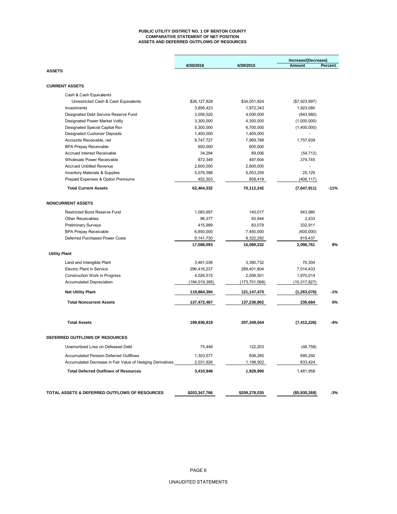#### **PUBLIC UTILITY DISTRICT NO. 1 OF BENTON COUNTY COMPARATIVE STATEMENT OF NET POSITION ASSETS AND DEFERRED OUTFLOWS OF RESOURCES**

|                                                           |               |                 | Increase/(Decrease) |         |
|-----------------------------------------------------------|---------------|-----------------|---------------------|---------|
|                                                           | 4/30/2016     | 4/30/2015       | <b>Amount</b>       | Percent |
| <b>ASSETS</b>                                             |               |                 |                     |         |
| <b>CURRENT ASSETS</b>                                     |               |                 |                     |         |
| Cash & Cash Equivalents                                   |               |                 |                     |         |
| Unrestricted Cash & Cash Equivalents                      | \$26,127,828  | \$34,051,824    | (\$7,923,997)       |         |
| Investments                                               | 3,895,423     | 1,972,343       | 1,923,080           |         |
| Designated Debt Service Reserve Fund                      | 3,056,020     | 4,000,000       | (943,980)           |         |
| Designated Power Market Voltly                            | 3,300,000     | 4,300,000       | (1,000,000)         |         |
| Designated Special Capital Rsv                            | 5,300,000     | 6,700,000       | (1,400,000)         |         |
| <b>Designated Customer Deposits</b>                       | 1,400,000     | 1,400,000       |                     |         |
| Accounts Receivable, net                                  | 9,747,727     | 7,989,788       | 1,757,939           |         |
| <b>BPA Prepay Receivable</b>                              | 600,000       | 600,000         |                     |         |
| <b>Accrued Interest Receivable</b>                        | 34,294        | 89,006          | (54, 712)           |         |
| Wholesale Power Receivable                                | 872,349       | 497,604         | 374,745             |         |
| <b>Accrued Unbilled Revenue</b>                           | 2,600,000     | 2,600,000       |                     |         |
| <b>Inventory Materials &amp; Supplies</b>                 | 5,078,388     | 5,053,259       | 25,129              |         |
| Prepaid Expenses & Option Premiums                        | 452,303       | 858,419         | (406, 117)          |         |
| <b>Total Current Assets</b>                               | 62,464,332    | 70,112,242      | (7,647,911)         | $-11%$  |
| <b>NONCURRENT ASSETS</b>                                  |               |                 |                     |         |
| <b>Restricted Bond Reserve Fund</b>                       | 1,083,997     | 140,017         | 943,980             |         |
| <b>Other Receivables</b>                                  | 96,377        | 93,944          | 2,433               |         |
| <b>Preliminary Surveys</b>                                | 415,989       | 83,079          | 332,911             |         |
| <b>BPA Prepay Receivable</b>                              | 6,850,000     | 7,450,000       | (600,000)           |         |
| Deferred Purchased Power Costs                            | 9,141,730     | 8,322,292       | 819,437             |         |
|                                                           | 17,588,093    | 16,089,332      | 2,098,761           | 9%      |
| <b>Utility Plant</b>                                      |               |                 |                     |         |
| Land and Intangible Plant                                 | 3,461,036     | 3,390,732       | 70,304              |         |
| Electric Plant in Service                                 | 296,416,237   | 289,401,804     | 7,014,433           |         |
| <b>Construction Work in Progress</b>                      | 4,026,515     | 2,056,501       | 1,970,014           |         |
| <b>Accumulated Depreciation</b>                           | (184,019,395) | (173, 701, 568) | (10, 317, 827)      |         |
| <b>Net Utility Plant</b>                                  | 119,884,394   | 121,147,470     | (1,263,076)         | $-1%$   |
| <b>Total Noncurrent Assets</b>                            | 137,472,487   | 137,236,802     | 235,684             | 0%      |
| <b>Total Assets</b>                                       | 199,936,818   | 207,349,044     | (7, 412, 226)       | -4%     |
| DEFERRED OUTFLOWS OF RESOURCES                            |               |                 |                     |         |
| Unamortized Loss on Defeased Debt                         | 75,446        | 122,203         | (46, 758)           |         |
| <b>Accumulated Pension Deferred Outlflows</b>             | 1,303,577     | 608,285         | 695,292             |         |
| Accumulated Decrease in Fair Value of Hedging Derivatives | 2,031,926     | 1,198,502       | 833,424             |         |
| <b>Total Deferred Outflows of Resources</b>               | 3,410,948     | 1,928,990       | 1,481,958           |         |
| TOTAL ASSETS & DEFERRED OUTFLOWS OF RESOURCES             | \$203,347,766 | \$209,278,035   | (\$5,930,268)       | -3%     |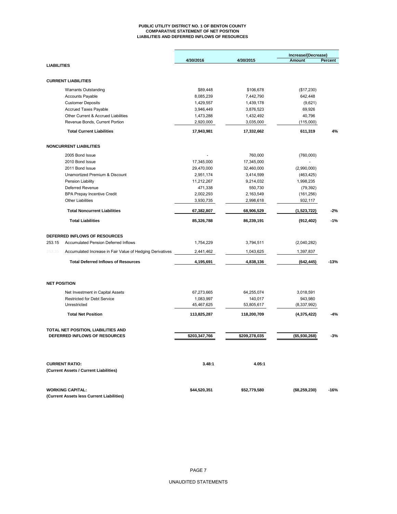#### **PUBLIC UTILITY DISTRICT NO. 1 OF BENTON COUNTY COMPARATIVE STATEMENT OF NET POSITION LIABILITIES AND DEFERRED INFLOWS OF RESOURCES**

|                     |                                                           | 4/30/2016               | 4/30/2015             | Increase/(Decrease)<br>Amount | Percent |
|---------------------|-----------------------------------------------------------|-------------------------|-----------------------|-------------------------------|---------|
| <b>LIABILITIES</b>  |                                                           |                         |                       |                               |         |
|                     |                                                           |                         |                       |                               |         |
|                     | <b>CURRENT LIABILITIES</b>                                |                         |                       |                               |         |
|                     | <b>Warrants Outstanding</b>                               | \$89,448                | \$106,678             | (\$17,230)                    |         |
|                     | <b>Accounts Payable</b>                                   | 8,085,239               | 7,442,790             | 642,448                       |         |
|                     | <b>Customer Deposits</b>                                  | 1,429,557               | 1,439,178             | (9,621)                       |         |
|                     | <b>Accrued Taxes Payable</b>                              | 3,946,449               | 3,876,523             | 69,926                        |         |
|                     | Other Current & Accrued Liabilities                       | 1,473,288               | 1,432,492             | 40,796                        |         |
|                     | Revenue Bonds, Current Portion                            | 2,920,000               | 3,035,000             | (115,000)                     |         |
|                     | <b>Total Current Liabilities</b>                          | 17,943,981              | 17,332,662            | 611,319                       | 4%      |
|                     | <b>NONCURRENT LIABILITIES</b>                             |                         |                       |                               |         |
|                     | 2005 Bond Issue                                           |                         | 760,000               | (760,000)                     |         |
|                     | 2010 Bond Issue                                           | 17,345,000              | 17,345,000            |                               |         |
|                     | 2011 Bond Issue                                           | 29,470,000              | 32,460,000            | (2,990,000)                   |         |
|                     | Unamortized Premium & Discount                            | 2,951,174               | 3,414,599             | (463, 425)                    |         |
|                     | Pension Liability                                         | 11,212,267              | 9,214,032             | 1,998,235                     |         |
|                     | Deferred Revenue                                          | 471,338                 | 550,730               | (79, 392)                     |         |
|                     | <b>BPA Prepay Incentive Credit</b>                        | 2,002,293               | 2,163,549             | (161, 256)                    |         |
|                     | <b>Other Liabilities</b>                                  | 3,930,735               | 2,998,618             | 932,117                       |         |
|                     | <b>Total Noncurrent Liabilities</b>                       | 67,382,807              | 68,906,529            | (1,523,722)                   | $-2%$   |
|                     | <b>Total Liabilities</b>                                  | 85,326,788              | 86,239,191            | (912, 402)                    | $-1%$   |
|                     | DEFERRED INFLOWS OF RESOURCES                             |                         |                       |                               |         |
| 253.15              | <b>Accumulated Pension Deferred Inflows</b>               | 1,754,229               | 3,794,511             | (2,040,282)                   |         |
| 253.25              | Accumulated Increase in Fair Value of Hedging Derivatives | 2,441,462               | 1,043,625             | 1,397,837                     |         |
|                     | <b>Total Deferred Inflows of Resources</b>                | 4,195,691               | 4,838,136             | (642, 445)                    | $-13%$  |
|                     |                                                           |                         |                       |                               |         |
| <b>NET POSITION</b> |                                                           |                         |                       |                               |         |
|                     | Net Investment in Capital Assets                          | 67,273,665              | 64,255,074            | 3,018,591                     |         |
|                     | <b>Restricted for Debt Service</b><br>Unrestricted        | 1,083,997<br>45,467,625 | 140,017<br>53,805,617 | 943,980<br>(8,337,992)        |         |
|                     | <b>Total Net Position</b>                                 | 113,825,287             | 118,200,709           | (4,375,422)                   | $-4%$   |
|                     |                                                           |                         |                       |                               |         |
|                     | TOTAL NET POSITION, LIABILITIES AND                       |                         |                       |                               |         |
|                     | DEFERRED INFLOWS OF RESOURCES                             | \$203,347,766           | \$209,278,035         | (\$5,930,268)                 | $-3%$   |
|                     |                                                           |                         |                       |                               |         |
|                     | <b>CURRENT RATIO:</b>                                     | 3.48:1                  | 4.05:1                |                               |         |
|                     | (Current Assets / Current Liabilities)                    |                         |                       |                               |         |
|                     | <b>WORKING CAPITAL:</b>                                   | \$44,520,351            | \$52,779,580          | (\$8,259,230)                 | $-16%$  |
|                     | (Current Assets less Current Liabilities)                 |                         |                       |                               |         |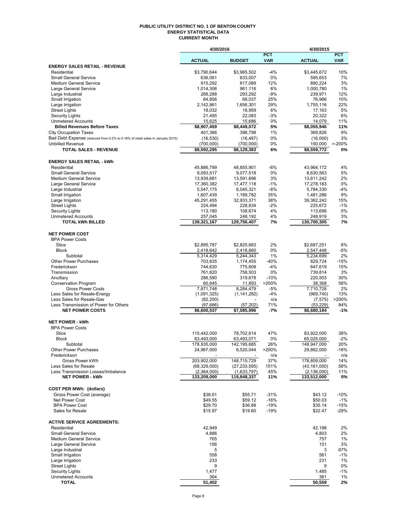#### **PUBLIC UTILITY DISTRICT NO. 1 OF BENTON COUNTY ENERGY STATISTICAL DATA CURRENT MONTH**

|                                                                               | 4/30/2016              |                        |             | 4/30/2015              |            |
|-------------------------------------------------------------------------------|------------------------|------------------------|-------------|------------------------|------------|
|                                                                               |                        |                        | <b>PCT</b>  |                        | <b>PCT</b> |
|                                                                               | <b>ACTUAL</b>          | <b>BUDGET</b>          | <b>VAR</b>  | <b>ACTUAL</b>          | <b>VAR</b> |
| <b>ENERGY SALES RETAIL - REVENUE</b>                                          |                        |                        |             |                        |            |
| Residential<br><b>Small General Service</b>                                   | \$3,790,644<br>636,061 | \$3,965,502<br>633,007 | $-4%$<br>0% | \$3,445,672<br>595,653 | 10%<br>7%  |
| <b>Medium General Service</b>                                                 | 915,292                | 817,089                | 12%         | 890,224                | 3%         |
| Large General Service                                                         | 1,014,306              | 961,116                | 6%          | 1,000,780              | 1%         |
| Large Industrial                                                              | 268,288                | 293,292                | $-9%$       | 239,971                | 12%        |
| Small Irrigation                                                              | 84,856                 | 68,037                 | 25%         | 76,966                 | 10%        |
| Large Irrigation                                                              | 2,142,861              | 1,656,301              | 29%         | 1,755,116              | 22%        |
| <b>Street Lights</b>                                                          | 18,032                 | 16,959                 | 6%          | 17,163                 | 5%         |
| <b>Security Lights</b>                                                        | 21,495                 | 22,083                 | $-3%$       | 20,322                 | 6%         |
| <b>Unmetered Accounts</b>                                                     | 15,625                 | 15,686                 | 0%          | 14,079                 | 11%        |
| <b>Billed Revenues Before Taxes</b>                                           | \$8,907,459            | \$8,449,072            | 5%          | \$8,055,946            | 11%        |
| <b>City Occupation Taxes</b>                                                  | 401,366                | 396,798                | 1%          | 369,826                | 9%         |
| Bad Debt Expense (reduced from 0.2% to 0.18% of retail sales in January 2015) | (16, 530)              | (16, 487)              | 0%          | (16,000)               | 3%         |
| <b>Unbilled Revenue</b>                                                       | (700,000)              | (700,000)              | 0%          | 150,000                | $> -200%$  |
| <b>TOTAL SALES - REVENUE</b>                                                  | \$8,592,295            | \$8,129,383            | 6%          | \$8,559,772            | 0%         |
|                                                                               |                        |                        |             |                        |            |
| <b>ENERGY SALES RETAIL - kWh</b>                                              |                        |                        |             |                        |            |
| Residential                                                                   | 45,886,799             | 48,855,901             | $-6%$       | 43,964,172             | 4%         |
| <b>Small General Service</b>                                                  | 9,093,517              | 9,077,518              | 0%          | 8,630,563              | 5%         |
| <b>Medium General Service</b>                                                 | 13,939,681             | 13,591,696             | 3%          | 13,611,242             | 2%         |
| Large General Service                                                         | 17,360,382             | 17,477,118             | $-1%$       | 17,278,183             | 0%         |
| Large Industrial                                                              | 5,547,175              | 6,045,321              | $-8%$       | 5,784,330              | $-4%$      |
| Small Irrigation                                                              | 1,607,439              | 1,189,782              | 35%         | 1,481,286              | 9%         |
| Large Irrigation                                                              | 45,291,455             | 32,933,371             | 38%         | 39,362,242             | 15%        |
| <b>Street Lights</b>                                                          | 224,494                | 228,834                | $-2%$       | 225,672                | $-1%$      |
| <b>Security Lights</b>                                                        | 113,180                | 108,674                | 4%          | 113,696                | 0%         |
| <b>Unmetered Accounts</b>                                                     | 257,045                | 248,192                | 4%          | 248,919                | 3%         |
| <b>TOTAL kWh BILLED</b>                                                       | 139,321,167            | 129,756,407            | 7%          | 130,700,305            | 7%         |
|                                                                               |                        |                        |             |                        |            |
| <b>NET POWER COST</b>                                                         |                        |                        |             |                        |            |
| <b>BPA Power Costs</b>                                                        |                        |                        |             |                        |            |
| Slice                                                                         | \$2,895,787            | \$2,825,683            | 2%          | \$2,687,251            | 8%         |
| <b>Block</b>                                                                  | 2,418,642              | 2,418,660              | 0%          | 2,547,448              | $-5%$      |
| Subtotal                                                                      | 5,314,429              | 5,244,343              | 1%          | 5,234,699              | 2%         |
| <b>Other Power Purchases</b>                                                  | 703,835                | 1,174,455              | -40%        | 829,724                | $-15%$     |
| Frederickson                                                                  | 744,630                | 775,608                | $-4%$       | 647,619                | 15%        |
| Transmission                                                                  | 761,620                | 758,503                | 0%          | 739,814                | 3%         |
| Ancillary                                                                     | 286,590                | 319,678                | $-10%$      | 220,503                | 30%        |
| <b>Conservation Program</b>                                                   | 60,645                 | 11,893                 | >200%       | 38,368                 | 58%        |
| <b>Gross Power Costs</b>                                                      | 7,871,748              | 8,284,479              | $-5%$       | 7,710,728              | 2%         |
| Less Sales for Resale-Energy                                                  | (1,091,325)            | (1, 141, 282)          | $-4%$       | (969, 740)             | 13%        |
| Less Sales for Resale-Gas                                                     | (82, 200)              |                        | n/a         | (7, 575)               | >200%      |
| Less Transmission of Power for Others                                         | (97, 686)              | (57,202)               | 71%         | (53, 229)              | 84%        |
| <b>NET POWER COSTS</b>                                                        | \$6,600,537            | \$7,085,996            | -7%         | \$6,680,184            | $-1%$      |
|                                                                               |                        |                        |             |                        |            |
| <b>NET POWER - kWh</b>                                                        |                        |                        |             |                        |            |
| <b>BPA Power Costs</b>                                                        |                        |                        |             |                        |            |
| Slice                                                                         | 115,442,000            | 78,702,614             | 47%         | 83,922,000             | 38%        |
| <b>Block</b>                                                                  | 63,493,000             | 63,493,071             | 0%          | 65,025,000             | $-2%$      |
| Subtotal                                                                      | 178,935,000            | 142,195,685            | 26%         | 148,947,000            | 20%        |
| <b>Other Power Purchases</b>                                                  | 24,967,000             | 6,520,044              | >200%       | 29,862,000             | -16%       |
| Frederickson                                                                  |                        |                        | n/a         |                        | n/a        |
| Gross Power kWh                                                               | 203,902,000            | 148,715,729            | 37%         | 178,809,000            | 14%        |
| Less Sales for Resale                                                         | (68, 329, 000)         | (27, 233, 595)         | 151%        | (43, 161, 000)         | 58%        |
| Less Transmission Losses/Imbalance                                            | (2,364,000)            | (1,633,797)            | 45%         | (2, 136, 000)          | 11%        |
| <b>NET POWER - kWh</b>                                                        | 133,209,000            | 119,848,337            | 11%         | 133,512,000            | 0%         |
|                                                                               |                        |                        |             |                        |            |
| <b>COST PER MWh: (dollars)</b>                                                |                        |                        |             |                        |            |
| Gross Power Cost (average)                                                    | \$38.61                | \$55.71                | $-31%$      | \$43.12                | $-10%$     |
| Net Power Cost                                                                | \$49.55                | \$59.12                | $-16%$      | \$50.03                | $-1%$      |
| <b>BPA Power Cost</b>                                                         | \$29.70                | \$36.88                | $-19%$      | \$35.14                | $-15%$     |
| Sales for Resale                                                              | \$15.97                | \$19.60                | $-19%$      | \$22.47                | $-29%$     |
|                                                                               |                        |                        |             |                        |            |
| <b>ACTIVE SERVICE AGREEMENTS:</b>                                             |                        |                        |             |                        |            |
| Residential                                                                   | 42,949                 |                        |             | 42,198                 | 2%         |
| Small General Service                                                         | 4,886                  |                        |             | 4,803                  | 2%         |
| <b>Medium General Service</b>                                                 | 765                    |                        |             | 757                    | 1%         |
| Large General Service                                                         | 156                    |                        |             | 151                    | 3%         |
| Large Industrial                                                              | 5                      |                        |             | 3                      | 67%        |
| Small Irrigation                                                              | 558                    |                        |             | 561                    | $-1%$      |
| Large Irrigation                                                              | 233                    |                        |             | 231                    | 1%         |
| <b>Street Lights</b>                                                          | 9                      |                        |             | 9                      | 0%         |
| <b>Security Lights</b>                                                        | 1,477                  |                        |             | 1,485                  | $-1%$      |
| <b>Unmetered Accounts</b>                                                     | 364                    |                        |             | 361                    | 1%         |
| <b>TOTAL</b>                                                                  | 51,402                 |                        |             | 50,559                 | 2%         |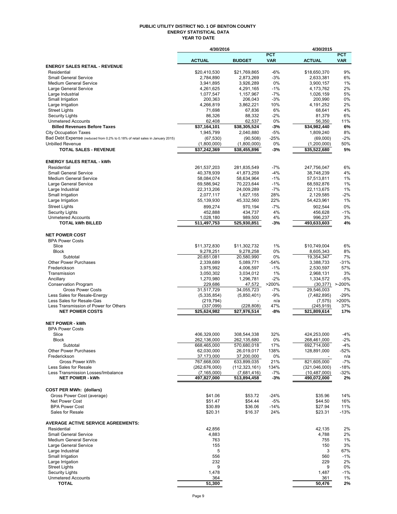#### **PUBLIC UTILITY DISTRICT NO. 1 OF BENTON COUNTY ENERGY STATISTICAL DATA YEAR TO DATE**

|                                                                                                               | 4/30/2016                        |                            |                          | 4/30/2015                     |                          |
|---------------------------------------------------------------------------------------------------------------|----------------------------------|----------------------------|--------------------------|-------------------------------|--------------------------|
|                                                                                                               | <b>ACTUAL</b>                    | <b>BUDGET</b>              | <b>PCT</b><br><b>VAR</b> | <b>ACTUAL</b>                 | <b>PCT</b><br><b>VAR</b> |
| <b>ENERGY SALES RETAIL - REVENUE</b>                                                                          |                                  |                            |                          |                               |                          |
| Residential                                                                                                   | \$20,410,530                     | \$21.769.865               | $-6%$                    | \$18,650,370                  | 9%                       |
| <b>Small General Service</b>                                                                                  | 2,784,890                        | 2,873,269                  | $-3%$                    | 2,633,381                     | 6%                       |
| <b>Medium General Service</b>                                                                                 | 3,941,895                        | 3,926,289                  | 0%                       | 3,900,157                     | 1%                       |
| Large General Service                                                                                         | 4,261,625                        | 4,291,165                  | $-1%$                    | 4,173,762                     | 2%                       |
| Large Industrial<br>Small Irrigation                                                                          | 1,077,547<br>200,363             | 1,157,967<br>206,043       | $-7%$<br>$-3%$           | 1,026,159<br>200,990          | 5%<br>0%                 |
| Large Irrigation                                                                                              | 4,266,819                        | 3,862,221                  | 10%                      | 4,191,252                     | 2%                       |
| <b>Street Lights</b>                                                                                          | 71,698                           | 67,836                     | 6%                       | 68,641                        | 4%                       |
| <b>Security Lights</b>                                                                                        | 86,326                           | 88,332                     | $-2%$                    | 81,379                        | 6%                       |
| <b>Unmetered Accounts</b>                                                                                     | 62,408                           | 62,537                     | 0%                       | 56,350                        | 11%                      |
| <b>Billed Revenues Before Taxes</b>                                                                           | \$37,164,101                     | \$38,305,524               | -3%                      | \$34,982,440                  | 6%                       |
| <b>City Occupation Taxes</b><br>Bad Debt Expense (reduced from 0.2% to 0.18% of retail sales in January 2015) | 1,945,799                        | 2,040,880                  | -5%                      | 1,809,240                     | 8%<br>$-2%$              |
| <b>Unbilled Revenue</b>                                                                                       | (67, 530)<br>(1,800,000)         | (90, 508)<br>(1,800,000)   | $-25%$<br>0%             | (69,000)<br>(1, 200, 000)     | 50%                      |
| <b>TOTAL SALES - REVENUE</b>                                                                                  | \$37,242,369                     | \$38,455,896               | -3%                      | \$35,522,680                  | 5%                       |
|                                                                                                               |                                  |                            |                          |                               |                          |
| <b>ENERGY SALES RETAIL - kWh</b>                                                                              |                                  |                            |                          |                               |                          |
| Residential                                                                                                   | 261,537,203                      | 281,835,549                | $-7%$                    | 247,756,047                   | 6%                       |
| <b>Small General Service</b>                                                                                  | 40,378,939                       | 41,873,259                 | $-4%$                    | 38,748,239                    | 4%                       |
| <b>Medium General Service</b>                                                                                 | 58,084,074                       | 58,634,964                 | $-1%$                    | 57,513,811                    | 1%                       |
| Large General Service                                                                                         | 69,586,942                       | 70.223.644                 | $-1%$                    | 68,592,876                    | 1%<br>1%                 |
| Large Industrial<br>Small Irrigation                                                                          | 22,313,206<br>2,077,117          | 24,009,289<br>1,627,155    | $-7%$<br>28%             | 22,113,675<br>2,129,585       | $-2%$                    |
| Large Irrigation                                                                                              | 55,139,930                       | 45,332,560                 | 22%                      | 54,423,961                    | 1%                       |
| <b>Street Lights</b>                                                                                          | 899,274                          | 970,194                    | $-7%$                    | 902,544                       | 0%                       |
| <b>Security Lights</b>                                                                                        | 452,888                          | 434,737                    | 4%                       | 456,628                       | $-1%$                    |
| <b>Unmetered Accounts</b>                                                                                     | 1,028,180                        | 989,500                    | 4%                       | 996,237                       | 3%                       |
| <b>TOTAL kWh BILLED</b>                                                                                       | 511,497,753                      | 525,930,851                | -3%                      | 493,633,603                   | 4%                       |
|                                                                                                               |                                  |                            |                          |                               |                          |
| <b>NET POWER COST</b>                                                                                         |                                  |                            |                          |                               |                          |
| <b>BPA Power Costs</b><br>Slice                                                                               | \$11,372,830                     | \$11,302,732               | 1%                       | \$10,749,004                  | 6%                       |
| <b>Block</b>                                                                                                  | 9,278,251                        | 9,278,258                  | 0%                       | 8,605,343                     | 8%                       |
| Subtotal                                                                                                      | 20,651,081                       | 20,580,990                 | 0%                       | 19,354,347                    | 7%                       |
| <b>Other Power Purchases</b>                                                                                  | 2,339,689                        | 5,089,771                  | $-54%$                   | 3,388,733                     | $-31%$                   |
| Frederickson                                                                                                  | 3,975,992                        | 4,006,597                  | $-1%$                    | 2,530,597                     | 57%                      |
| Transmission                                                                                                  | 3,050,302                        | 3,034,012                  | 1%                       | 2,968,131                     | 3%                       |
| Ancillary                                                                                                     | 1,270,980                        | 1,296,781                  | $-2%$                    | 1,334,572                     | $-5%$                    |
| <b>Conservation Program</b><br><b>Gross Power Costs</b>                                                       | 229,686<br>31,517,729            | 47,572<br>34,055,723       | >200%<br>$-7%$           | (30, 377)<br>29,546,003       | $> -200%$<br>7%          |
| Less Sales for Resale-Energy                                                                                  | (5,335,854)                      | (5,850,401)                | -9%                      | (7, 482, 895)                 | $-29%$                   |
| Less Sales for Resale-Gas                                                                                     | (219, 794)                       |                            | n/a                      | (7, 575)                      | >200%                    |
| Less Transmission of Power for Others                                                                         | (337,099)                        | (228, 808)                 | 47%                      | (245, 919)                    | 37%                      |
| <b>NET POWER COSTS</b>                                                                                        | \$25,624,982                     | \$27,976,514               | -8%                      | $\overline{$21,809,614}$      | 17%                      |
|                                                                                                               |                                  |                            |                          |                               |                          |
| <b>NET POWER - kWh</b><br><b>BPA Power Costs</b>                                                              |                                  |                            |                          |                               |                          |
| Slice                                                                                                         | 406,329,000                      | 308,544,338                | 32%                      | 424,253,000                   | $-4%$                    |
| Block                                                                                                         | 262,136,000                      | 262,135,680                | 0%                       | 268,461,000                   | -2%                      |
| Subtotal                                                                                                      | 668,465,000                      | 570,680,018                | 17%                      | 692,714,000                   | $-4%$                    |
| <b>Other Power Purchases</b>                                                                                  | 62,030,000                       | 26,019,017                 | 138%                     | 128,891,000                   | -52%                     |
| Frederickson                                                                                                  | 37,173,000                       | 37,200,000                 | 0%                       |                               | n/a                      |
| Gross Power kWh                                                                                               | 767,668,000                      | 633,899,035                | 21%                      | 821,605,000                   | $-7%$                    |
| Less Sales for Resale<br>Less Transmission Losses/Imbalance                                                   | (262, 676, 000)<br>(7, 165, 000) | (112, 323, 161)            | 134%<br>$-7%$            | (321, 046, 000)               | -18%<br>$-32%$           |
| <b>NET POWER - kWh</b>                                                                                        | 497,827,000                      | (7,681,416)<br>513,894,458 | $-3%$                    | (10, 487, 000)<br>490,072,000 | 2%                       |
|                                                                                                               |                                  |                            |                          |                               |                          |
| <b>COST PER MWh: (dollars)</b>                                                                                |                                  |                            |                          |                               |                          |
| Gross Power Cost (average)                                                                                    | \$41.06                          | \$53.72                    | $-24%$                   | \$35.96                       | 14%                      |
| Net Power Cost                                                                                                | \$51.47                          | \$54.44                    | $-5%$                    | \$44.50                       | 16%                      |
| <b>BPA Power Cost</b>                                                                                         | \$30.89                          | \$36.06                    | $-14%$                   | \$27.94                       | 11%                      |
| Sales for Resale                                                                                              | \$20.31                          | \$16.37                    | 24%                      | \$23.31                       | $-13%$                   |
| <b>AVERAGE ACTIVE SERVICE AGREEMENTS:</b>                                                                     |                                  |                            |                          |                               |                          |
| Residential                                                                                                   | 42,856                           |                            |                          | 42,135                        | 2%                       |
| <b>Small General Service</b>                                                                                  | 4,883                            |                            |                          | 4,788                         | 2%                       |
| <b>Medium General Service</b>                                                                                 | 763                              |                            |                          | 755                           | 1%                       |
| Large General Service                                                                                         | 155                              |                            |                          | 150                           | 3%                       |
| Large Industrial                                                                                              | 5                                |                            |                          | 3                             | 67%                      |
| Small Irrigation<br>Large Irrigation                                                                          | 556<br>232                       |                            |                          | 560<br>229                    | $-1%$<br>2%              |
| <b>Street Lights</b>                                                                                          | 9                                |                            |                          | 9                             | 0%                       |
| <b>Security Lights</b>                                                                                        | 1,478                            |                            |                          | 1,487                         | $-1%$                    |
| <b>Unmetered Accounts</b>                                                                                     | 364                              |                            |                          | 361                           | 1%                       |
| <b>TOTAL</b>                                                                                                  | 51,300                           |                            |                          | 50,476                        | 2%                       |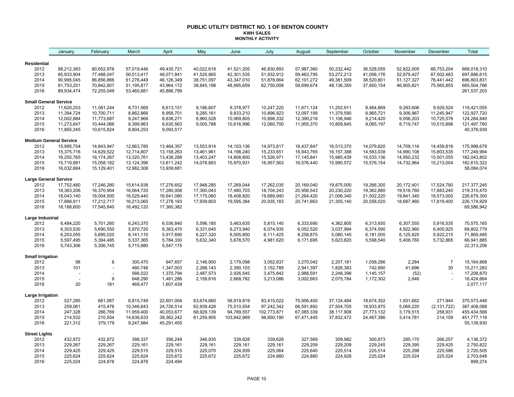### **PUBLIC UTILITY DISTRICT NO. 1 OF BENTON COUNTY KWH SALES MONTHLY ACTIVITY**

|                                       | January                  | February                 | March                   | April                    | May        | June        | July        | August       | September    | October    | November   | December       | Total                     |
|---------------------------------------|--------------------------|--------------------------|-------------------------|--------------------------|------------|-------------|-------------|--------------|--------------|------------|------------|----------------|---------------------------|
| Residential                           |                          |                          |                         |                          |            |             |             |              |              |            |            |                |                           |
| 2012                                  | 88,212,383               | 80,652,978               | 57,019,446              | 49,435,721               | 40,022,618 | 41,521,205  | 46,830,893  | 57,987,360   | 50,232,442   | 36,528,055 | 52,822,005 | 66,753,204     | 668,018,310               |
| 2013                                  | 85,933,904               | 77,488,047               | 56,513,417              | 48,071,841               | 41,520,865 | 42,301,535  | 51,932,912  | 59,463,795   | 53,272,213   | 41,006,176 | 52,879,427 | 87,502,483     | 697,886,615               |
| 2014                                  | 90,995,045               | 86,856,866               | 61,276,449              | 46,126,349               | 38,751,097 | 43,347,010  | 51,878,664  | 62,101,272   | 49,381,509   | 38,520,801 | 51,127,327 | 76,441,442     | 696,803,831               |
| 2015                                  | 81,753,251               | 70,842,807               | 51,195,817              | 43,964,172               | 38,845,198 | 48,995,659  | 62,750,008  | 58,699,674   | 48,136,350   | 37,850,154 | 46,905,821 | 75,565,855     | 665,504,766               |
| 2016                                  | 89,934,474               | 72,255,049               | 53,460,881              | 45,886,799               |            |             |             |              |              |            |            |                | 261,537,203               |
| <b>Small General Service</b>          |                          |                          |                         |                          |            |             |             |              |              |            |            |                |                           |
| 2012                                  | 11,620,253               | 11,081,244               | 8,731,569               | 8,613,151                | 9,186,607  | 9,378,977   | 10,247,220  | 11,671,124   | 11,202,911   | 8,464,869  | 9,293,606  | 9,929,524      | 119,421,055               |
| 2013                                  | 11,394,724               | 10,700,711               | 8,862,866               | 8,958,701                | 9,285,161  | 9,833,210   | 10,896,923  | 12,097,199   | 11,379,590   | 8,965,721  | 9,306,967  | 11,245,947     | 122,927,720               |
| 2014                                  | 12,002,884               | 11,773,687               | 9,247,968               | 8,838,271                | 8,960,528  | 10,069,805  | 10,898,332  | 12,390,218   | 11,106,946   | 9,214,420  | 9,056,203  | 10,725,578     | 124,284,840               |
| 2015<br>2016                          | 11,273,647<br>11,865,345 | 10,444,066<br>10,615,824 | 8,399,963               | 8,630,563<br>9,093,517   | 9,005,788  | 10,616,996  | 12,060,700  | 11,955,370   | 10,809,845   | 9,065,197  | 8,719,747  | 10,515,898     | 121,497,780<br>40,378,939 |
|                                       |                          |                          | 8,804,253               |                          |            |             |             |              |              |            |            |                |                           |
| <b>Medium General Service</b><br>2012 | 15,995,754               | 14,843,947               | 12,863,785              | 13,464,357               | 13,553,914 | 14,103,136  | 14,973,817  | 16,437,847   | 16,513,370   | 14,079,820 | 14,709,116 | 14,459,816     | 175,998,679               |
| 2013                                  | 15,375,716               | 14,629,522               | 12,714,807              | 13,158,263               | 13,461,961 | 14,198,240  | 15,233,651  | 16,943,765   | 16, 157, 388 | 14,583,038 | 14,990,108 | 15,803,535     | 177,249,994               |
| 2014                                  | 16,255,765               | 16,174,267               | 13,320,761              | 13,438,288               | 13,403,247 | 14,808,800  | 15,526,971  | 17, 145, 841 | 15,985,439   | 15,533,136 | 14,950,232 | 15,501,055     | 182,043,802               |
| 2015                                  | 15,719,991               | 15,058,182               | 13,124,396              | 13,611,242               | 14,078,883 | 15,970,931  | 16,957,563  | 16,576,440   | 15,990,572   | 15,576,154 | 14,732,964 | 15,213,004     | 182,610,322               |
| 2016                                  | 16,032,684               | 15,129,401               | 12,982,308              | 13,939,681               |            |             |             |              |              |            |            |                | 58,084,074                |
| <b>Large General Service</b>          |                          |                          |                         |                          |            |             |             |              |              |            |            |                |                           |
| 2012                                  | 17,752,480               | 17,246,280               | 15,614,938              | 17,276,652               | 17,948,285 | 17,269,044  | 17,262,035  | 20,169,040   | 19,875,000   | 19,266,300 | 20,172,401 | 17,524,790     | 217, 377, 245             |
| 2013                                  | 18,363,206               | 16,370,904               | 16,064,720              | 17,280,008               | 17,300,043 | 17,480,703  | 18,704,243  | 20,956,543   | 20,230,220   | 19,362,880 | 19,518,760 | 17,683,240     | 219,315,470               |
| 2014                                  | 18,043,140               | 18,004,500               | 16,529,440              | 16,641,080               | 17,175,060 | 18,408,820  | 19,689,940  | 21,264,420   | 21,006,340   | 21,502,220 | 19,841,340 | 18,573,000     | 226,679,300               |
| 2015                                  | 17,888,911               | 17,212,717               | 16,213,065              | 17,278,183               | 17,939,803 | 19,595,384  | 20,935,183  | 20,741,663   | 21,305,140   | 20,558,020 | 18,687,460 | 17,819,400     | 226, 174, 929             |
| 2016                                  | 18,188,600               | 17,545,840               | 16,492,120              | 17,360,382               |            |             |             |              |              |            |            |                | 69,586,942                |
| Large Industrial                      |                          |                          |                         |                          |            |             |             |              |              |            |            |                |                           |
| 2012                                  | 6,484,220                | 5,701,260                | 6,243,370               | 6,036,840                | 5,596,185  | 5,463,635   | 5,815,140   | 6,333,690    | 4,362,805    | 6,313,930  | 6,307,555  | 5,916,535      | 70,575,165                |
| 2013                                  | 6,303,530                | 5,690,550                | 5,970,720               | 6,363,470                | 6,331,645  | 6,273,940   | 6,074,935   | 6,052,520    | 3,037,994    | 6,374,590  | 4,922,960  | 6,405,925      | 69,802,779                |
| 2014                                  | 6,203,055                | 5,695,020                | 6,141,110               | 5,917,690                | 6,227,320  | 6,005,800   | 6,111,425   | 6,258,875    | 5,080,145    | 6,181,005  | 6,125,825  | 5,922,215      | 71,869,485                |
| 2015<br>2016                          | 5,597,495<br>5,743,306   | 5,394,485<br>5,306,745   | 5,337,365<br>5,715,980  | 5,784,330<br>5,547,175   | 5,632,340  | 5,678,570   | 4,981,620   | 6,171,695    | 5,623,820    | 5,598,540  | 5,408,760  | 5,732,865      | 66,941,885<br>22,313,206  |
|                                       |                          |                          |                         |                          |            |             |             |              |              |            |            |                |                           |
| <b>Small Irrigation</b><br>2012       | 98                       | 8                        | 300,470                 | 947,657                  | 2,146,900  | 2,179,098   | 3,052,837   | 3,270,042    | 2,207,181    | 1,058,286  | 2,284      | $\overline{7}$ | 15,164,868                |
| 2013                                  | 101                      |                          | 480.748                 | 1,347,003                | 2,288,143  | 2,390,103   | 3,152,789   | 2,941,397    | 1,826,383    | 742,890    | 41,696     | 30             | 15,211,283                |
| 2014                                  |                          |                          | 566,022                 | 1,370,794                | 2,487,573  | 2,926,545   | 3,475,842   | 2,988,591    | 2,248,398    | 1,145,157  | (52)       |                | 17,208,870                |
| 2015                                  |                          | 9                        | 648,290                 | 1,481,286                | 2,159,616  | 2,668,782   | 3,213,086   | 3,002,663    | 2,075,784    | 1,172,302  | 2,846      |                | 16,424,664                |
| 2016                                  | 20                       | 181                      | 469,477                 | 1,607,439                |            |             |             |              |              |            |            |                | 2,077,117                 |
| Large Irrigation                      |                          |                          |                         |                          |            |             |             |              |              |            |            |                |                           |
| 2012                                  | 527,285                  | 661,067                  | 6,815,749               | 22,601,004               | 63,674,660 | 58,919,819  | 83,415,022  | 75,956,400   | 37,124,484   | 18,674,352 | 1,931,662  | 271,944        | 370,573,448               |
| 2013                                  | 259,061                  | 415,476                  | 10,346,643              | 24,726,514               | 62,939,428 | 75,510,554  | 97,242,342  | 66,591,892   | 27,504,705   | 18,933,975 | 5,069,220  | (2, 131, 722)  | 387,408,088               |
| 2014                                  | 247,328                  | 266,769                  | 11,959,400              | 40,053,677               | 68,929,139 | 94,789,557  | 102,773,871 | 67,085,339   | 38,117,908   | 27,773,132 | 3,179,515  | 258,931        | 455,434,566               |
| 2015<br>2016                          | 214,532<br>221,312       | 210,554<br>379,179       | 14,636,633<br>9,247,984 | 39,362,242<br>45,291,455 | 61,259,905 | 103,842,869 | 98,850,190  | 67,471,445   | 37,832,472   | 24,467,386 | 3,414,781  | 214,109        | 451,777,118<br>55,139,930 |
|                                       |                          |                          |                         |                          |            |             |             |              |              |            |            |                |                           |
| <b>Street Lights</b><br>2012          | 432,872                  | 432,872                  | 398,337                 | 356,249                  | 346,935    | 339,628     | 339,628     | 327,569      | 309,982      | 300,873    | 285,170    | 266,257        | 4,136,372                 |
| 2013                                  | 229,267                  | 229,267                  | 229,161                 | 229,161                  | 229,161    | 229,161     | 229,161     | 229,209      | 229,209      | 229,245    | 229,395    | 229,425        | 2,750,822                 |
| 2014                                  | 229,425                  | 229,425                  | 229,515                 | 229,515                  | 225,070    | 224,939     | 225,064     | 225,640      | 225,514      | 225,514    | 225,298    | 225,586        | 2,720,505                 |
| 2015                                  | 225,624                  | 225,624                  | 225,624                 | 225,672                  | 225,672    | 225,672     | 224,880     | 224,880      | 224,928      | 225,024    | 225,024    | 225,024        | 2,703,648                 |
| 2016                                  | 225,024                  | 224,878                  | 224,878                 | 224,494                  |            |             |             |              |              |            |            |                | 899,274                   |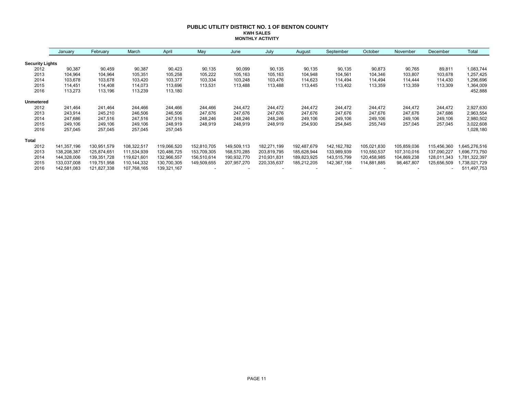### **PUBLIC UTILITY DISTRICT NO. 1 OF BENTON COUNTY KWH SALES MONTHLY ACTIVITY**

|                        | January     | February    | March         | April       | May         | June        | July        | August      | September     | October     | November    | December    | Total        |
|------------------------|-------------|-------------|---------------|-------------|-------------|-------------|-------------|-------------|---------------|-------------|-------------|-------------|--------------|
| <b>Security Lights</b> |             |             |               |             |             |             |             |             |               |             |             |             |              |
| 2012                   | 90,387      | 90,459      | 90,387        | 90,423      | 90,135      | 90,099      | 90,135      | 90,135      | 90,135        | 90,873      | 90,765      | 89,811      | 1,083,744    |
| 2013                   | 104,964     | 104,964     | 105,351       | 105,258     | 105,222     | 105,163     | 105,163     | 104,948     | 104,561       | 104,346     | 103,807     | 103,678     | 1,257,425    |
| 2014                   | 103.678     | 103,678     | 103,420       | 103,377     | 103,334     | 103,248     | 103,476     | 114,623     | 114,494       | 114,494     | 114,444     | 114,430     | 1,296,696    |
| 2015                   | 114.451     | 114,408     | 114,073       | 113,696     | 113,531     | 113,488     | 113,488     | 113,445     | 113,402       | 113,359     | 113,359     | 113,309     | 1,364,009    |
| 2016                   | 113,273     | 113,196     | 113,239       | 113,180     |             |             |             |             |               |             |             |             | 452,888      |
| <b>Unmetered</b>       |             |             |               |             |             |             |             |             |               |             |             |             |              |
| 2012                   | 241,464     | 241,464     | 244,466       | 244,466     | 244,466     | 244,472     | 244,472     | 244,472     | 244,472       | 244,472     | 244,472     | 244,472     | 2,927,630    |
| 2013                   | 243,914     | 245,210     | 246,506       | 246,506     | 247,676     | 247,676     | 247,676     | 247,676     | 247,676       | 247,676     | 247,676     | 247,686     | 2,963,554    |
| 2014                   | 247,686     | 247,516     | 247,516       | 247,516     | 248,246     | 248,246     | 248,246     | 249,106     | 249,106       | 249,106     | 249,106     | 249,106     | 2,980,502    |
| 2015                   | 249,106     | 249,106     | 249,106       | 248,919     | 248,919     | 248,919     | 248,919     | 254,930     | 254,845       | 255,749     | 257,045     | 257,045     | 3,022,608    |
| 2016                   | 257,045     | 257,045     | 257,045       | 257,045     |             |             |             |             |               |             |             |             | 1,028,180    |
| <b>Total</b>           |             |             |               |             |             |             |             |             |               |             |             |             |              |
| 2012                   | 141,357,196 | 130,951,579 | 108,322,517   | 119,066,520 | 152,810,705 | 149,509,113 | 182,271,199 | 192,487,679 | 142, 162, 782 | 105,021,830 | 105,859,036 | 115,456,360 | ,645,276,516 |
| 2013                   | 138,208,387 | 125,874,651 | 111,534,939   | 120,486,725 | 153,709,305 | 168,570,285 | 203,819,795 | 185,628,944 | 133,989,939   | 110,550,537 | 107,310,016 | 137,090,227 | ,696,773,750 |
| 2014                   | 144,328,006 | 139,351,728 | 119,621,601   | 132,966,557 | 156,510,614 | 190,932,770 | 210,931,831 | 189,823,925 | 143,515,799   | 120,458,985 | 104,869,238 | 128,011,343 | ,781,322,397 |
| 2015                   | 133,037,008 | 119,751,958 | 110, 144, 332 | 130,700,305 | 149,509,655 | 207,957,270 | 220,335,637 | 185,212,205 | 142,367,158   | 114,881,885 | 98,467,807  | 125,656,509 | ,738,021,729 |
| 2016                   | 142,581,083 | 121,827,338 | 107,768,165   | 139,321,167 |             |             |             |             |               |             |             |             | 511,497,753  |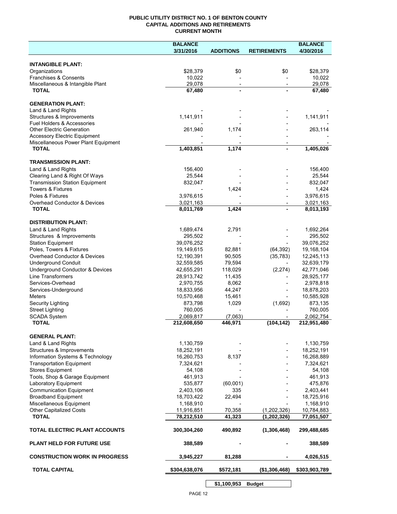## **PUBLIC UTILITY DISTRICT NO. 1 OF BENTON COUNTY CAPITAL ADDITIONS AND RETIREMENTS CURRENT MONTH**

|                                                                       | <b>BALANCE</b>          |                          |                          | <b>BALANCE</b>          |
|-----------------------------------------------------------------------|-------------------------|--------------------------|--------------------------|-------------------------|
|                                                                       | 3/31/2016               | <b>ADDITIONS</b>         | <b>RETIREMENTS</b>       | 4/30/2016               |
| <b>INTANGIBLE PLANT:</b>                                              |                         |                          |                          |                         |
| Organizations                                                         | \$28,379                | \$0                      | \$0                      | \$28,379                |
| Franchises & Consents                                                 | 10,022                  |                          |                          | 10,022                  |
| Miscellaneous & Intangible Plant                                      | 29,078                  | $\overline{\phantom{a}}$ | $\overline{\phantom{a}}$ | 29,078                  |
| <b>TOTAL</b>                                                          | 67,480                  | $\blacksquare$           |                          | 67,480                  |
| <b>GENERATION PLANT:</b>                                              |                         |                          |                          |                         |
| Land & Land Rights                                                    |                         |                          |                          |                         |
| Structures & Improvements                                             | 1,141,911               |                          |                          | 1,141,911               |
| <b>Fuel Holders &amp; Accessories</b>                                 |                         |                          |                          |                         |
| <b>Other Electric Generation</b>                                      | 261,940                 | 1,174                    |                          | 263,114                 |
| <b>Accessory Electric Equipment</b>                                   |                         |                          |                          |                         |
| Miscellaneous Power Plant Equipment<br><b>TOTAL</b>                   | 1,403,851               | 1,174                    |                          | 1,405,026               |
|                                                                       |                         |                          |                          |                         |
| <b>TRANSMISSION PLANT:</b>                                            |                         |                          |                          |                         |
| Land & Land Rights                                                    | 156,400                 |                          |                          | 156,400                 |
| Clearing Land & Right Of Ways                                         | 25,544                  |                          |                          | 25,544                  |
| <b>Transmission Station Equipment</b><br><b>Towers &amp; Fixtures</b> | 832,047                 |                          |                          | 832,047                 |
| Poles & Fixtures                                                      | 3,976,615               | 1,424                    |                          | 1,424<br>3,976,615      |
| Overhead Conductor & Devices                                          | 3,021,163               |                          |                          | 3,021,163               |
| <b>TOTAL</b>                                                          | 8,011,769               | 1,424                    |                          | 8,013,193               |
|                                                                       |                         |                          |                          |                         |
| <b>DISTRIBUTION PLANT:</b>                                            |                         |                          |                          |                         |
| Land & Land Rights                                                    | 1,689,474               | 2,791                    |                          | 1,692,264               |
| Structures & Improvements                                             | 295,502<br>39,076,252   |                          |                          | 295,502<br>39,076,252   |
| <b>Station Equipment</b><br>Poles, Towers & Fixtures                  | 19,149,615              | 82,881                   | (64, 392)                | 19,168,104              |
| Overhead Conductor & Devices                                          | 12,190,391              | 90,505                   | (35, 783)                | 12,245,113              |
| <b>Underground Conduit</b>                                            | 32,559,585              | 79,594                   |                          | 32,639,179              |
| Underground Conductor & Devices                                       | 42,655,291              | 118,029                  | (2, 274)                 | 42,771,046              |
| <b>Line Transformers</b>                                              | 28,913,742              | 11,435                   |                          | 28,925,177              |
| Services-Overhead                                                     | 2,970,755               | 8,062                    |                          | 2,978,818               |
| Services-Underground                                                  | 18,833,956              | 44,247                   |                          | 18,878,203              |
| Meters                                                                | 10,570,468              | 15,461                   |                          | 10,585,928              |
| Security Lighting                                                     | 873,798                 | 1,029                    | (1,692)                  | 873,135                 |
| <b>Street Lighting</b><br><b>SCADA System</b>                         | 760,005<br>2,069,817    | (7,063)                  |                          | 760,005<br>2,062,754    |
| <b>TOTAL</b>                                                          | 212,608,650             | 446,971                  | (104, 142)               | 212,951,480             |
|                                                                       |                         |                          |                          |                         |
| <b>GENERAL PLANT:</b>                                                 |                         |                          |                          |                         |
| Land & Land Rights                                                    | 1,130,759               |                          |                          | 1,130,759               |
| Structures & Improvements                                             | 18,252,191              |                          |                          | 18,252,191              |
| Information Systems & Technology<br><b>Transportation Equipment</b>   | 16,260,753<br>7,324,621 | 8,137                    |                          | 16,268,889<br>7,324,621 |
| <b>Stores Equipment</b>                                               | 54,108                  |                          |                          | 54,108                  |
| Tools, Shop & Garage Equipment                                        | 461,913                 |                          |                          | 461,913                 |
| Laboratory Equipment                                                  | 535,877                 | (60,001)                 |                          | 475,876                 |
| <b>Communication Equipment</b>                                        | 2,403,106               | 335                      |                          | 2,403,441               |
| <b>Broadband Equipment</b>                                            | 18,703,422              | 22,494                   |                          | 18,725,916              |
| Miscellaneous Equipment                                               | 1,168,910               |                          |                          | 1,168,910               |
| <b>Other Capitalized Costs</b>                                        | 11,916,851              | 70,358                   | (1,202,326)              | 10,784,883              |
| <b>TOTAL</b>                                                          | 78,212,510              | 41,323                   | (1, 202, 326)            | 77,051,507              |
| TOTAL ELECTRIC PLANT ACCOUNTS                                         | 300,304,260             | 490,892                  | (1,306,468)              | 299,488,685             |
| <b>PLANT HELD FOR FUTURE USE</b>                                      | 388,589                 |                          |                          | 388,589                 |
| <b>CONSTRUCTION WORK IN PROGRESS</b>                                  | 3,945,227               | 81,288                   |                          | 4,026,515               |
| <b>TOTAL CAPITAL</b>                                                  | \$304,638,076           | \$572,181                | (\$1,306,468)            | \$303,903,789           |
|                                                                       |                         |                          |                          |                         |

**\$1,100,953 Budget**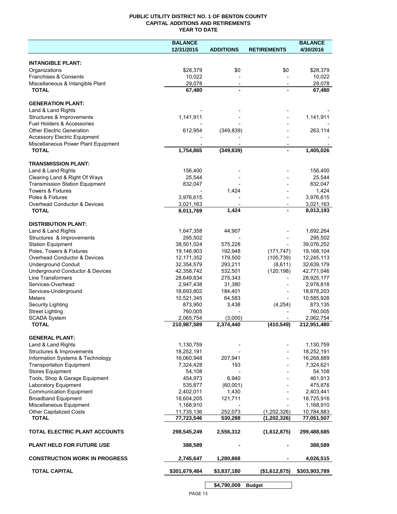## **PUBLIC UTILITY DISTRICT NO. 1 OF BENTON COUNTY CAPITAL ADDITIONS AND RETIREMENTS YEAR TO DATE**

|                                                        | <b>BALANCE</b>          |                  |                    | <b>BALANCE</b>          |
|--------------------------------------------------------|-------------------------|------------------|--------------------|-------------------------|
|                                                        | 12/31/2015              | <b>ADDITIONS</b> | <b>RETIREMENTS</b> | 4/30/2016               |
|                                                        |                         |                  |                    |                         |
| <b>INTANGIBLE PLANT:</b>                               |                         |                  |                    |                         |
| Organizations                                          | \$28,379                | \$0              | \$0                | \$28,379                |
| Franchises & Consents                                  | 10,022                  |                  |                    | 10,022                  |
| Miscellaneous & Intangible Plant                       | 29,078                  |                  |                    | 29,078                  |
| <b>TOTAL</b>                                           | 67,480                  |                  |                    | 67,480                  |
| <b>GENERATION PLANT:</b>                               |                         |                  |                    |                         |
| Land & Land Rights                                     |                         |                  |                    |                         |
| Structures & Improvements                              | 1,141,911               |                  |                    | 1,141,911               |
| Fuel Holders & Accessories                             |                         |                  |                    |                         |
| <b>Other Electric Generation</b>                       | 612,954                 | (349, 839)       |                    | 263,114                 |
| <b>Accessory Electric Equipment</b>                    |                         |                  |                    |                         |
| Miscellaneous Power Plant Equipment                    |                         |                  |                    |                         |
| <b>TOTAL</b>                                           | 1,754,865               | (349, 839)       |                    | 1,405,026               |
|                                                        |                         |                  |                    |                         |
| <b>TRANSMISSION PLANT:</b>                             |                         |                  |                    |                         |
| Land & Land Rights                                     | 156,400                 |                  |                    | 156,400                 |
| Clearing Land & Right Of Ways                          | 25,544                  |                  |                    | 25,544                  |
| <b>Transmission Station Equipment</b>                  | 832,047                 |                  |                    | 832,047                 |
| <b>Towers &amp; Fixtures</b>                           |                         | 1,424            |                    | 1,424                   |
| Poles & Fixtures                                       | 3,976,615               |                  |                    | 3,976,615               |
| Overhead Conductor & Devices                           | 3,021,163               | 1,424            |                    | 3,021,163               |
| <b>TOTAL</b>                                           | 8,011,769               |                  |                    | 8,013,193               |
| <b>DISTRIBUTION PLANT:</b>                             |                         |                  |                    |                         |
| Land & Land Rights                                     | 1,647,358               | 44,907           |                    | 1,692,264               |
| Structures & Improvements                              | 295,502                 |                  |                    | 295,502                 |
| <b>Station Equipment</b>                               | 38,501,024              | 575,228          |                    | 39,076,252              |
| Poles, Towers & Fixtures                               | 19,146,903              | 192,948          | (171, 747)         | 19,168,104              |
| Overhead Conductor & Devices                           | 12, 171, 352            | 179,500          | (105, 739)         | 12,245,113              |
| <b>Underground Conduit</b>                             | 32,354,579              | 293,211          | (8,611)            | 32,639,179              |
| Underground Conductor & Devices                        | 42,358,742              | 532,501          | (120, 198)         | 42,771,046              |
| Line Transformers                                      | 28,649,834              | 275,343          |                    | 28,925,177              |
| Services-Overhead                                      | 2,947,438               | 31,380           |                    | 2,978,818               |
| Services-Underground                                   | 18,693,802              | 184,401          |                    | 18,878,203              |
| <b>Meters</b>                                          | 10,521,345              | 64,583           |                    | 10,585,928              |
| Security Lighting                                      | 873,950                 | 3,438            | (4,254)            | 873,135                 |
| <b>Street Lighting</b>                                 | 760,005                 |                  |                    | 760,005                 |
| <b>SCADA System</b>                                    | 2,065,754               | (3,000)          |                    | 2,062,754               |
| <b>TOTAL</b>                                           | 210,987,589             | 2,374,440        | (410, 549)         | 212,951,480             |
|                                                        |                         |                  |                    |                         |
| <b>GENERAL PLANT:</b>                                  |                         |                  |                    |                         |
| Land & Land Rights                                     | 1,130,759               |                  |                    | 1,130,759               |
| Structures & Improvements                              | 18,252,191              |                  |                    | 18,252,191              |
| Information Systems & Technology                       | 16,060,948              | 207,941          |                    | 16,268,889              |
| <b>Transportation Equipment</b>                        | 7,324,428               | 193              |                    | 7,324,621               |
| <b>Stores Equipment</b>                                | 54,108                  |                  |                    | 54,108                  |
| Tools, Shop & Garage Equipment                         | 454,973                 | 6,940            |                    | 461,913                 |
| Laboratory Equipment<br><b>Communication Equipment</b> | 535,877                 | (60,001)         |                    | 475,876                 |
|                                                        | 2,402,011<br>18,604,205 | 1,430            |                    | 2,403,441               |
| <b>Broadband Equipment</b><br>Miscellaneous Equipment  |                         | 121,711          |                    | 18,725,916              |
| <b>Other Capitalized Costs</b>                         | 1,168,910<br>11,735,136 | 252,073          | (1,202,326)        | 1,168,910<br>10,784,883 |
| <b>TOTAL</b>                                           | 77,723,546              | 530,288          | (1, 202, 326)      | 77,051,507              |
|                                                        |                         |                  |                    |                         |
| TOTAL ELECTRIC PLANT ACCOUNTS                          | 298,545,249             | 2,556,312        | (1,612,875)        | 299,488,685             |
| <b>PLANT HELD FOR FUTURE USE</b>                       | 388,589                 |                  |                    | 388,589                 |
| <b>CONSTRUCTION WORK IN PROGRESS</b>                   | 2,745,647               | 1,280,868        |                    | 4,026,515               |
| <b>TOTAL CAPITAL</b>                                   | \$301,679,484           | \$3,837,180      | (\$1,612,875)      | \$303,903,789           |
|                                                        |                         | \$4,790,008      | <b>Budget</b>      |                         |
|                                                        |                         |                  |                    |                         |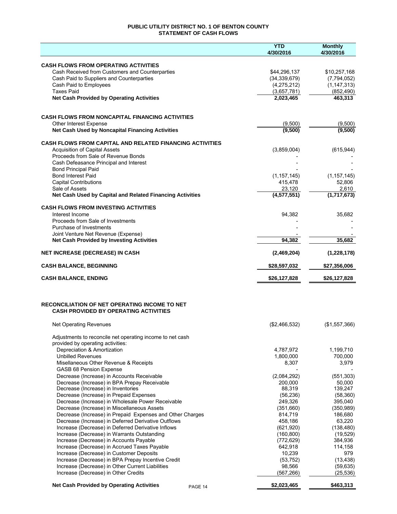# **PUBLIC UTILITY DISTRICT NO. 1 OF BENTON COUNTY STATEMENT OF CASH FLOWS**

|                                                                                                      | <b>YTD</b><br>4/30/2016  | <b>Monthly</b><br>4/30/2016 |
|------------------------------------------------------------------------------------------------------|--------------------------|-----------------------------|
| <b>CASH FLOWS FROM OPERATING ACTIVITIES</b>                                                          |                          |                             |
| Cash Received from Customers and Counterparties                                                      | \$44,296,137             | \$10,257,168                |
| Cash Paid to Suppliers and Counterparties                                                            | (34, 339, 679)           | (7,794,052)                 |
| Cash Paid to Employees                                                                               | (4,275,212)              | (1, 147, 313)               |
| <b>Taxes Paid</b>                                                                                    | (3,657,781)              | (852, 490)                  |
| <b>Net Cash Provided by Operating Activities</b>                                                     | 2,023,465                | 463,313                     |
| <b>CASH FLOWS FROM NONCAPITAL FINANCING ACTIVITIES</b>                                               |                          |                             |
| <b>Other Interest Expense</b>                                                                        | (9,500)                  | (9,500)                     |
| Net Cash Used by Noncapital Financing Activities                                                     | (9,500)                  | (9,500)                     |
| <b>CASH FLOWS FROM CAPITAL AND RELATED FINANCING ACTIVITIES</b>                                      |                          |                             |
| <b>Acquisition of Capital Assets</b>                                                                 | (3,859,004)              | (615, 944)                  |
| Proceeds from Sale of Revenue Bonds                                                                  |                          |                             |
| Cash Defeasance Principal and Interest                                                               |                          |                             |
| <b>Bond Principal Paid</b><br><b>Bond Interest Paid</b>                                              |                          |                             |
| <b>Capital Contributions</b>                                                                         | (1, 157, 145)<br>415,478 | (1, 157, 145)<br>52,806     |
| Sale of Assets                                                                                       | 23,120                   | 2,610                       |
| Net Cash Used by Capital and Related Financing Activities                                            | (4,577,551)              | (1,717,673)                 |
| <b>CASH FLOWS FROM INVESTING ACTIVITIES</b>                                                          |                          |                             |
| Interest Income                                                                                      | 94,382                   | 35,682                      |
| Proceeds from Sale of Investments                                                                    |                          |                             |
| Purchase of Investments<br>Joint Venture Net Revenue (Expense)                                       |                          |                             |
| <b>Net Cash Provided by Investing Activities</b>                                                     | 94,382                   | 35,682                      |
| <b>NET INCREASE (DECREASE) IN CASH</b>                                                               | (2,469,204)              | (1,228,178)                 |
| <b>CASH BALANCE, BEGINNING</b>                                                                       | \$28,597,032             | \$27,356,006                |
| <b>CASH BALANCE, ENDING</b>                                                                          | \$26,127,828             | \$26,127,828                |
| <b>RECONCILIATION OF NET OPERATING INCOME TO NET</b><br><b>CASH PROVIDED BY OPERATING ACTIVITIES</b> |                          |                             |
|                                                                                                      |                          |                             |
| Net Operating Revenues                                                                               | (\$2,466,532)            | (\$1,557,366)               |
| Adjustments to reconcile net operating income to net cash<br>provided by operating activities:       |                          |                             |
| Depreciation & Amortization                                                                          | 4,787,972                | 1,199,710                   |
| <b>Unbilled Revenues</b>                                                                             | 1,800,000                | 700,000                     |
| Misellaneous Other Revenue & Receipts<br>GASB 68 Pension Expense                                     | 8,307                    | 3,979                       |
| Decrease (Increase) in Accounts Receivable                                                           | (2,084,292)              | (551, 303)                  |
| Decrease (Increase) in BPA Prepay Receivable                                                         | 200,000                  | 50,000                      |
| Decrease (Increase) in Inventories                                                                   | 88,319                   | 139,247                     |
| Decrease (Increase) in Prepaid Expenses                                                              | (56, 236)                | (58, 360)                   |
| Decrease (Increase) in Wholesale Power Receivable                                                    | 249,326                  | 395,040                     |
| Decrease (Increase) in Miscellaneous Assets                                                          | (351,660)                | (350, 989)                  |
| Decrease (Increase) in Prepaid Expenses and Other Charges                                            | 814,719                  | 186,680                     |
| Decrease (Increase) in Deferred Derivative Outflows                                                  | 458,186                  | 63,220                      |
| Increase (Decrease) in Deferred Derivative Inflows<br>Increase (Decrease) in Warrants Outstanding    | (621, 920)<br>(160, 800) | (138, 480)<br>(19, 529)     |
| Increase (Decrease) in Accounts Payable                                                              | (772, 629)               | 384,936                     |
| Increase (Decrease) in Accrued Taxes Payable                                                         | 642,918                  | 114,158                     |
| Increase (Decrease) in Customer Deposits                                                             | 10,239                   | 979                         |
| Increase (Decrease) in BPA Prepay Incentive Credit                                                   | (53, 752)                | (13, 438)                   |
| Increase (Decrease) in Other Current Liabilities                                                     | 98,566                   | (59, 635)                   |
| Increase (Decrease) in Other Credits                                                                 | (567, 266)               | (25, 536)                   |
| <b>Net Cash Provided by Operating Activities</b><br>PAGE 14                                          | \$2,023,465              | \$463,313                   |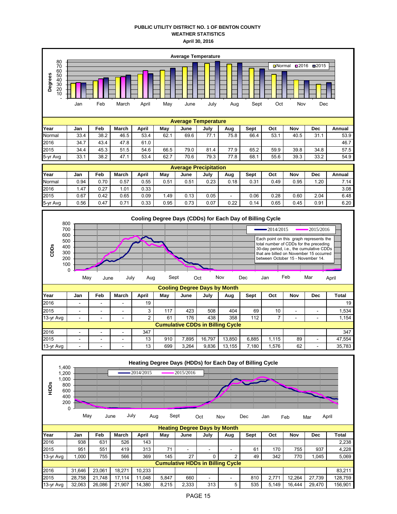## **PUBLIC UTILITY DISTRICT NO. 1 OF BENTON COUNTY WEATHER STATISTICS April 30, 2016**



| ı eal    | Jall | re⊍  | March | Avu  | may  | Julie | July | Auy                      | oept | uu   | IVUV | レビし  | Alliudi |
|----------|------|------|-------|------|------|-------|------|--------------------------|------|------|------|------|---------|
| Normal   | 0.94 | 0.70 | 0.57  | 0.55 | 0.51 | 0.51  | 0.23 | 0.18                     | 0.31 | 0.49 | 0.95 | .20  | 7.14    |
| 2016     | . 47 | 0.27 | .01   | 0.33 |      |       |      |                          |      |      |      |      | 3.08    |
| 2015     | 0.67 | 0.42 | 0.65  | 0.09 | .49  | 0.13  | 0.05 | $\overline{\phantom{0}}$ | 0.06 | 0.28 | 0.60 | 2.04 | 6.48    |
| 5-yr Avg | 0.56 | 0.47 | 0.71  | 0.33 | 0.95 | 0.73  | 0.07 | 0.22                     | 0.14 | 0.65 | 0.45 | 0.91 | 6.20    |



|           |                |        |                          |       |     |       | Cooling Degree Days by Month |                                         |       |       |                          |                          |        |
|-----------|----------------|--------|--------------------------|-------|-----|-------|------------------------------|-----------------------------------------|-------|-------|--------------------------|--------------------------|--------|
| Year      | Jan            | Feb    | March                    | April | May | June  | July                         | Aug                                     | Sept  | Oct   | Nov                      | Dec                      | Total  |
| 2016      | $\overline{a}$ | $\sim$ | $\overline{\phantom{0}}$ | 19    |     |       |                              |                                         |       |       |                          |                          | 19     |
| 2015      | -              | ۰      | -                        |       | 117 | 423   | 508                          | 404                                     | 69    | 10    |                          |                          | 1,534  |
| 13-yr Avg | -              | ۰      | -                        |       | 61  | 176   | 438                          | 358                                     | 112   |       | $\overline{\phantom{0}}$ |                          | 1,154  |
|           |                |        |                          |       |     |       |                              | <b>Cumulative CDDs in Billing Cycle</b> |       |       |                          |                          |        |
| 2016      |                |        |                          | 347   |     |       |                              |                                         |       |       |                          |                          | 347    |
| 2015      | -              | ۰      | -                        | 13    | 910 | 7.895 | 16.797                       | 13.850                                  | 6.885 | 1.115 | 89                       | -                        | 47,554 |
| 13-yr Avg | ۰              | $\sim$ | -                        | 13    | 699 | 3.264 | 9.836                        | 13.155                                  | 7.180 | .576  | 62                       | $\overline{\phantom{0}}$ | 35,783 |

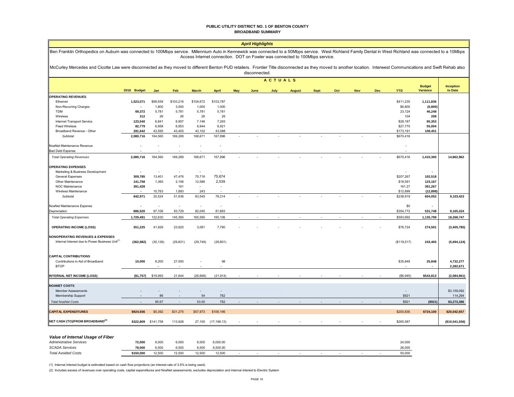#### **PUBLIC UTILITY DISTRICT NO. 1 OF BENTON COUNTY BROADBAND SUMMARY**

|                                                                                                            |                                                                                                                                                                                                                                                                                            |                          |                          |                      |              |     | <b>April Highlights</b> |                |               |             |     |            |            |             |                          |                  |
|------------------------------------------------------------------------------------------------------------|--------------------------------------------------------------------------------------------------------------------------------------------------------------------------------------------------------------------------------------------------------------------------------------------|--------------------------|--------------------------|----------------------|--------------|-----|-------------------------|----------------|---------------|-------------|-----|------------|------------|-------------|--------------------------|------------------|
|                                                                                                            | Ben Franklin Orthopedics on Auburn was connected to 100Mbps service. Millennium Auto in Kennewick was connected to a 50Mbps service. West Richland Family Dental in West Richland was connected to a 10Mbps<br>Access Internet connection. DOT on Fowler was connected to 100Mbps service. |                          |                          |                      |              |     |                         |                |               |             |     |            |            |             |                          |                  |
|                                                                                                            | McCurley Mercedes and Cicotte Law were disconnected as they moved to different Benton PUD retailers. Frontier Title disconnected as they moved to another location. Interwest Communications and Swift Rehab also<br>disconnected.                                                         |                          |                          |                      |              |     |                         |                |               |             |     |            |            |             |                          |                  |
|                                                                                                            |                                                                                                                                                                                                                                                                                            |                          |                          |                      |              |     |                         | <b>ACTUALS</b> |               |             |     |            |            |             |                          |                  |
|                                                                                                            |                                                                                                                                                                                                                                                                                            |                          |                          |                      |              |     |                         |                |               |             |     |            |            |             | <b>Budget</b>            | <b>Inception</b> |
|                                                                                                            | 2016 Budget                                                                                                                                                                                                                                                                                | Jan                      | Feb                      | <b>March</b>         | April        | May | June                    | July           | <b>August</b> | <b>Sept</b> | Oct | <b>Nov</b> | <b>Dec</b> | <b>YTD</b>  | <b>Variance</b>          | to Date          |
| <b>OPERATING REVENUES</b>                                                                                  |                                                                                                                                                                                                                                                                                            |                          |                          |                      |              |     |                         |                |               |             |     |            |            |             |                          |                  |
| Ethernet                                                                                                   | 1,523,071                                                                                                                                                                                                                                                                                  | \$99.559                 | \$103,216                | \$104,672            | \$103,787    |     |                         |                |               |             |     |            |            | \$411.235   | 1,111,836                |                  |
| Non-Recurring Charges                                                                                      |                                                                                                                                                                                                                                                                                            | 1,800                    | 3,000                    | 1,000                | 1,000        |     |                         |                |               |             |     |            |            | \$6,800     | (6, 800)                 |                  |
| <b>TDM</b>                                                                                                 | 69,372                                                                                                                                                                                                                                                                                     | 5,781                    | 5,781                    | 5,781                | 5,781        |     |                         |                |               |             |     |            |            | 23,124      | 46,248                   |                  |
| Wireless                                                                                                   | 312                                                                                                                                                                                                                                                                                        | 26                       | 26                       | 26                   | 26           |     |                         |                |               |             |     |            |            | 104         | 208                      |                  |
| Internet Transport Service                                                                                 | 123,540                                                                                                                                                                                                                                                                                    | 6,841                    | 6,907                    | 7,146                | 7,293        |     |                         |                |               |             |     |            |            | \$28,187    | 95,353                   |                  |
| <b>Fixed Wireless</b>                                                                                      | 82,779                                                                                                                                                                                                                                                                                     | 6,958                    | 6,953                    | 6,944                | 6,921        |     |                         |                |               |             |     |            |            | \$27,775    | 55,004                   |                  |
| Broadband Revenue - Other                                                                                  | 281,642                                                                                                                                                                                                                                                                                    | 43,595                   | 43,405                   | 43,102               | 43,088       |     |                         |                |               |             |     |            |            | \$173,191   | 108,451                  |                  |
| Subtotal                                                                                                   | 2,080,716                                                                                                                                                                                                                                                                                  | 164.560                  | 169,289                  | 168,671              | 167,896      |     |                         |                |               |             |     |            |            | \$670,416   |                          |                  |
|                                                                                                            |                                                                                                                                                                                                                                                                                            |                          |                          |                      |              |     |                         |                |               |             |     |            |            |             |                          |                  |
| NoaNet Maintenance Revenue<br><b>Bad Debt Expense</b>                                                      |                                                                                                                                                                                                                                                                                            |                          | $\tilde{\phantom{a}}$    | $\ddot{\phantom{a}}$ |              |     |                         |                |               |             |     |            |            |             |                          |                  |
| <b>Total Operating Revenues</b>                                                                            | 2,080,716                                                                                                                                                                                                                                                                                  | 164,560                  | 169,289                  | 168,671              | 167,896      |     |                         |                |               |             |     |            |            | \$670,416   | 1,410,300                | 14,862,962       |
|                                                                                                            |                                                                                                                                                                                                                                                                                            |                          |                          |                      |              |     |                         |                |               |             |     |            |            |             |                          |                  |
| <b>OPERATING EXPENSES</b>                                                                                  |                                                                                                                                                                                                                                                                                            |                          |                          |                      |              |     |                         |                |               |             |     |            |            |             |                          |                  |
| Marketing & Business Development                                                                           |                                                                                                                                                                                                                                                                                            |                          |                          |                      |              |     |                         |                |               |             |     |            |            |             |                          |                  |
| <b>General Expenses</b>                                                                                    | 309,785                                                                                                                                                                                                                                                                                    | 13,401                   | 47,476                   | 70,716               | 75,674       |     |                         |                |               |             |     |            |            | \$207,267   | 102,518                  |                  |
| Other Maintenance                                                                                          | 141,758                                                                                                                                                                                                                                                                                    | 1,360                    | 2,106                    | 12,586               | 2,539        |     |                         |                |               |             |     |            |            | \$18,591    | 123,167                  |                  |
| NOC Maintenance                                                                                            | 391,428                                                                                                                                                                                                                                                                                    |                          | 161                      |                      |              |     |                         |                |               |             |     |            |            | 161.27      | 391,267                  |                  |
| Wireless Maintenance                                                                                       |                                                                                                                                                                                                                                                                                            | 10,763                   | 1,893                    | 243                  |              |     |                         |                |               |             |     |            |            | \$12,899    | (12, 899)                |                  |
| Subtotal                                                                                                   | 842,971                                                                                                                                                                                                                                                                                    | 25,524                   | 51,636                   | 83,545               | 78,214       |     |                         |                |               |             |     |            |            | \$238,919   | 604,052                  | 9,103,423        |
| NoaNet Maintenance Expense                                                                                 |                                                                                                                                                                                                                                                                                            | $\overline{\phantom{a}}$ | $\overline{\phantom{a}}$ | ٠                    |              |     |                         |                |               |             |     |            |            | \$0         | $\overline{\phantom{a}}$ |                  |
| Depreciation                                                                                               | 886,520                                                                                                                                                                                                                                                                                    | 97,106                   | 93,729                   | 82,045               | 81,893       |     |                         |                |               |             |     |            |            | \$354,772   | 531,748                  | 9,165,324        |
| <b>Total Operating Expenses</b>                                                                            | 1,729,491                                                                                                                                                                                                                                                                                  | 122,630                  | 145,365                  | 165,590              | 160,106      |     |                         |                |               |             |     |            |            | \$593,692   | 1,135,799                | 18,268,747       |
| <b>OPERATING INCOME (LOSS)</b>                                                                             | 351,225                                                                                                                                                                                                                                                                                    | 41,929                   | 23,925                   | 3,081                | 7,790        |     |                         |                |               |             |     |            |            | \$76,724    | 274,501                  | (3,405,785)      |
|                                                                                                            |                                                                                                                                                                                                                                                                                            |                          |                          |                      |              |     |                         |                |               |             |     |            |            |             |                          |                  |
| <b>NONOPERATING REVENUES &amp; EXPENSES</b><br>Internal Interest due to Power Business Unit <sup>(1)</sup> | (362, 982)                                                                                                                                                                                                                                                                                 | (30, 136)                | (29, 831)                | (29, 749)            | (29, 801)    |     |                         |                |               |             |     |            |            | (\$119,517) | 243,465                  | (5,694,124)      |
|                                                                                                            |                                                                                                                                                                                                                                                                                            |                          |                          |                      |              |     |                         |                |               |             |     |            |            |             |                          |                  |
| <b>CAPITAL CONTRIBUTIONS</b>                                                                               |                                                                                                                                                                                                                                                                                            |                          |                          |                      |              |     |                         |                |               |             |     |            |            |             |                          |                  |
| Contributions in Aid of Broadband                                                                          | 10,000                                                                                                                                                                                                                                                                                     | 8,200                    | 27,550                   |                      | 98           |     |                         |                |               |             |     |            |            | \$35,848    | 25,848                   | 4,732,277        |
| <b>BTOP</b>                                                                                                |                                                                                                                                                                                                                                                                                            |                          |                          |                      |              |     |                         |                |               |             |     |            |            |             |                          | 2,282,671        |
|                                                                                                            |                                                                                                                                                                                                                                                                                            |                          |                          |                      |              |     |                         |                |               |             |     |            |            |             |                          |                  |
| <b>INTERNAL NET INCOME (LOSS)</b>                                                                          | (\$1,757)                                                                                                                                                                                                                                                                                  | \$19,993                 | 21,644                   | (26, 668)            | (21, 914)    |     |                         |                |               |             |     |            |            | (\$6,945)   | \$543,813                | (2,084,961)      |
| <b>NOANET COSTS</b>                                                                                        |                                                                                                                                                                                                                                                                                            |                          |                          |                      |              |     |                         |                |               |             |     |            |            |             |                          |                  |
| <b>Member Assessments</b>                                                                                  |                                                                                                                                                                                                                                                                                            |                          |                          |                      |              |     |                         |                |               |             |     |            |            |             |                          | \$3,159,092      |
| Membership Support                                                                                         |                                                                                                                                                                                                                                                                                            | 86                       | $\sim$                   | 54                   | 782          |     |                         |                |               |             |     |            |            | \$921       |                          | 114,294          |
| <b>Total NoaNet Costs</b>                                                                                  |                                                                                                                                                                                                                                                                                            | 85.67                    |                          | 53.50                | 782          |     |                         |                |               |             |     |            |            | \$921       | (\$921)                  | \$3,273,386      |
|                                                                                                            |                                                                                                                                                                                                                                                                                            |                          |                          |                      |              |     |                         |                |               |             |     |            |            |             |                          |                  |
| <b>CAPITAL EXPENDITURES</b>                                                                                | \$924,936                                                                                                                                                                                                                                                                                  | \$5,392                  | \$31,275                 | \$57,973             | \$106,196    |     |                         |                |               |             |     |            |            | \$200,836   | \$724,100                | \$20,042,657     |
| NET CASH (TO)/FROM BROADBAND <sup>(2)</sup>                                                                | \$322,809                                                                                                                                                                                                                                                                                  | \$141,758                | 113,928                  | 27,100               | (17, 198.13) |     |                         |                |               |             |     |            |            | \$265,587   |                          | (\$10,541,556)   |

### *Value of Internal Usage of Fiber*

 $\blacksquare$ 

| <b>Administrative Services</b> | 72,000    | 6,000  | 6,000 | 6,000  | 6,000.00 |  |  |  |  | 24,000 |
|--------------------------------|-----------|--------|-------|--------|----------|--|--|--|--|--------|
| <b>SCADA Services</b>          | 78.000    | 6.500  | 6.50  | : ENC  | 6.500.00 |  |  |  |  | 26,000 |
| <b>Total Avoided Costs</b>     | \$150.000 | 12.500 | 12.50 | 12.500 | 12.500   |  |  |  |  | 50,000 |

(1) Internal interest budget is estimated based on cash flow projections (an interest rate of 3.6% is being used).

(2) Includes excess of revenues over operating costs, capital expenditures and NoaNet assessments; excludes depreciation and internal interest to Electric System